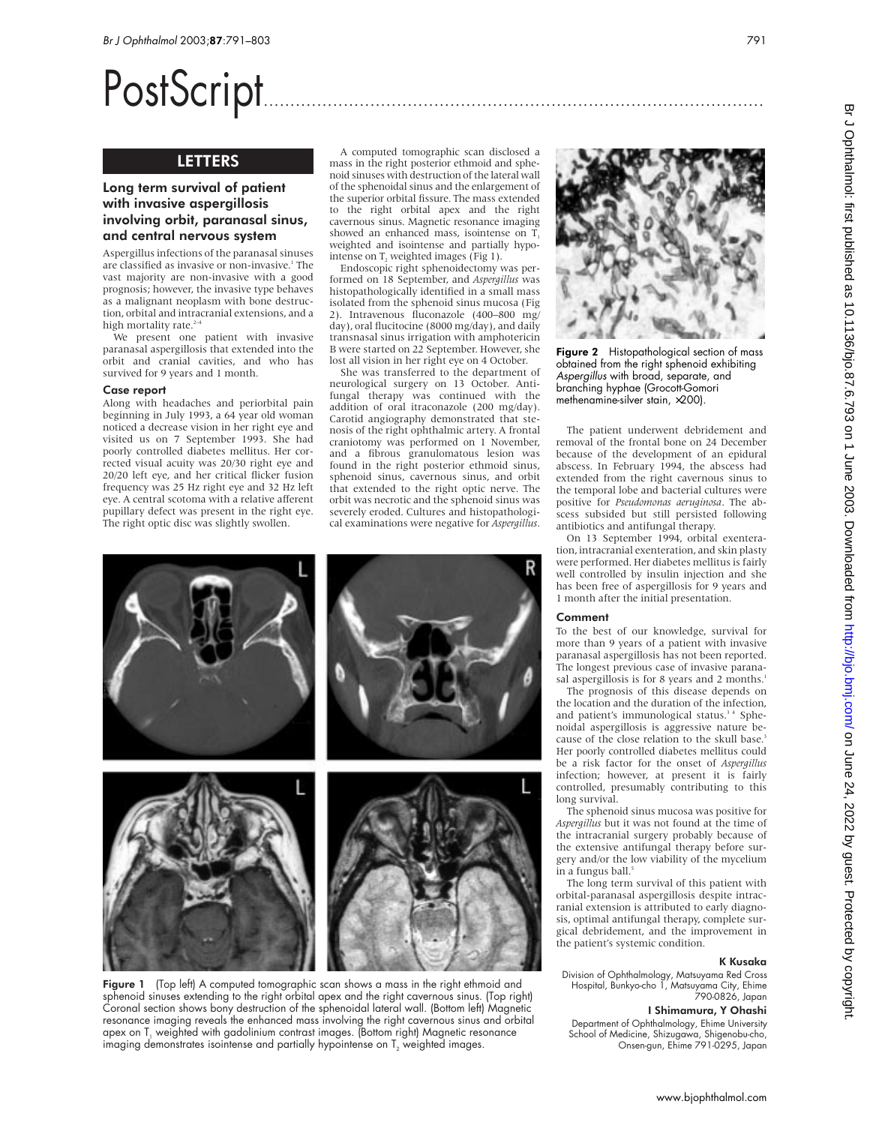# PostScript..............................................................................................

# LETTERS

# Long term survival of patient with invasive aspergillosis involving orbit, paranasal sinus, and central nervous system

Aspergillus infections of the paranasal sinuses are classified as invasive or non-invasive.<sup>1</sup> The vast majority are non-invasive with a good prognosis; however, the invasive type behaves as a malignant neoplasm with bone destruction, orbital and intracranial extensions, and a high mortality rate.<sup>2-4</sup>

We present one patient with invasive paranasal aspergillosis that extended into the orbit and cranial cavities, and who has survived for 9 years and 1 month.

#### Case report

Along with headaches and periorbital pain beginning in July 1993, a 64 year old woman noticed a decrease vision in her right eye and visited us on 7 September 1993. She had poorly controlled diabetes mellitus. Her corrected visual acuity was 20/30 right eye and 20/20 left eye, and her critical flicker fusion frequency was 25 Hz right eye and 32 Hz left eye. A central scotoma with a relative afferent pupillary defect was present in the right eye. The right optic disc was slightly swollen.

A computed tomographic scan disclosed a mass in the right posterior ethmoid and sphenoid sinuses with destruction of the lateral wall of the sphenoidal sinus and the enlargement of the superior orbital fissure. The mass extended to the right orbital apex and the right cavernous sinus. Magnetic resonance imaging showed an enhanced mass, isointense on T weighted and isointense and partially hypointense on  $T_2$  weighted images (Fig 1).

Endoscopic right sphenoidectomy was performed on 18 September, and *Aspergillus* was histopathologically identified in a small mass isolated from the sphenoid sinus mucosa (Fig 2). Intravenous fluconazole (400–800 mg/ day), oral flucitocine (8000 mg/day), and daily transnasal sinus irrigation with amphotericin B were started on 22 September. However, she lost all vision in her right eye on 4 October.

She was transferred to the department of neurological surgery on 13 October. Antifungal therapy was continued with the addition of oral itraconazole (200 mg/day). Carotid angiography demonstrated that stenosis of the right ophthalmic artery. A frontal craniotomy was performed on 1 November, and a fibrous granulomatous lesion was found in the right posterior ethmoid sinus, sphenoid sinus, cavernous sinus, and orbit that extended to the right optic nerve. The orbit was necrotic and the sphenoid sinus was severely eroded. Cultures and histopathological examinations were negative for *Aspergillus*.



Figure 1 (Top left) A computed tomographic scan shows a mass in the right ethmoid and sphenoid sinuses extending to the right orbital apex and the right cavernous sinus. (Top right) Coronal section shows bony destruction of the sphenoidal lateral wall. (Bottom left) Magnetic resonance imaging reveals the enhanced mass involving the right cavernous sinus and orbital apex on T $_{\tiny{1}}$  weighted with gadolinium contrast images. (Bottom right) Magnetic resonance imaging demonstrates isointense and partially hypointense on T<sub>2</sub> weighted images.



Figure 2 Histopathological section of mass obtained from the right sphenoid exhibiting Aspergillus with broad, separate, and branching hyphae (Grocott-Gomori methenamine-silver stain, ×200).

The patient underwent debridement and removal of the frontal bone on 24 December because of the development of an epidural abscess. In February 1994, the abscess had extended from the right cavernous sinus to the temporal lobe and bacterial cultures were positive for *Pseudomonas aeruginosa*. The abscess subsided but still persisted following antibiotics and antifungal therapy.

On 13 September 1994, orbital exenteration, intracranial exenteration, and skin plasty were performed. Her diabetes mellitus is fairly well controlled by insulin injection and she has been free of aspergillosis for 9 years and 1 month after the initial presentation.

#### Comment

To the best of our knowledge, survival for more than 9 years of a patient with invasive paranasal aspergillosis has not been reported. The longest previous case of invasive paranasal aspergillosis is for 8 years and 2 months.<sup>1</sup>

The prognosis of this disease depends on the location and the duration of the infection, and patient's immunological status.<sup>34</sup> Sphenoidal aspergillosis is aggressive nature because of the close relation to the skull base.<sup>3</sup> Her poorly controlled diabetes mellitus could be a risk factor for the onset of *Aspergillus* infection; however, at present it is fairly controlled, presumably contributing to this long survival.

The sphenoid sinus mucosa was positive for *Aspergillus* but it was not found at the time of the intracranial surgery probably because of the extensive antifungal therapy before surgery and/or the low viability of the mycelium in a fungus ball.

The long term survival of this patient with orbital-paranasal aspergillosis despite intracranial extension is attributed to early diagnosis, optimal antifungal therapy, complete surgical debridement, and the improvement in the patient's systemic condition.

#### K Kusaka

Division of Ophthalmology, Matsuyama Red Cross Hospital, Bunkyo-cho 1, Matsuyama City, Ehime 790-0826, Japan

#### I Shimamura, Y Ohashi

Department of Ophthalmology, Ehime University School of Medicine, Shizugawa, Shigenobu-cho, Onsen-gun, Ehime 791-0295, Japan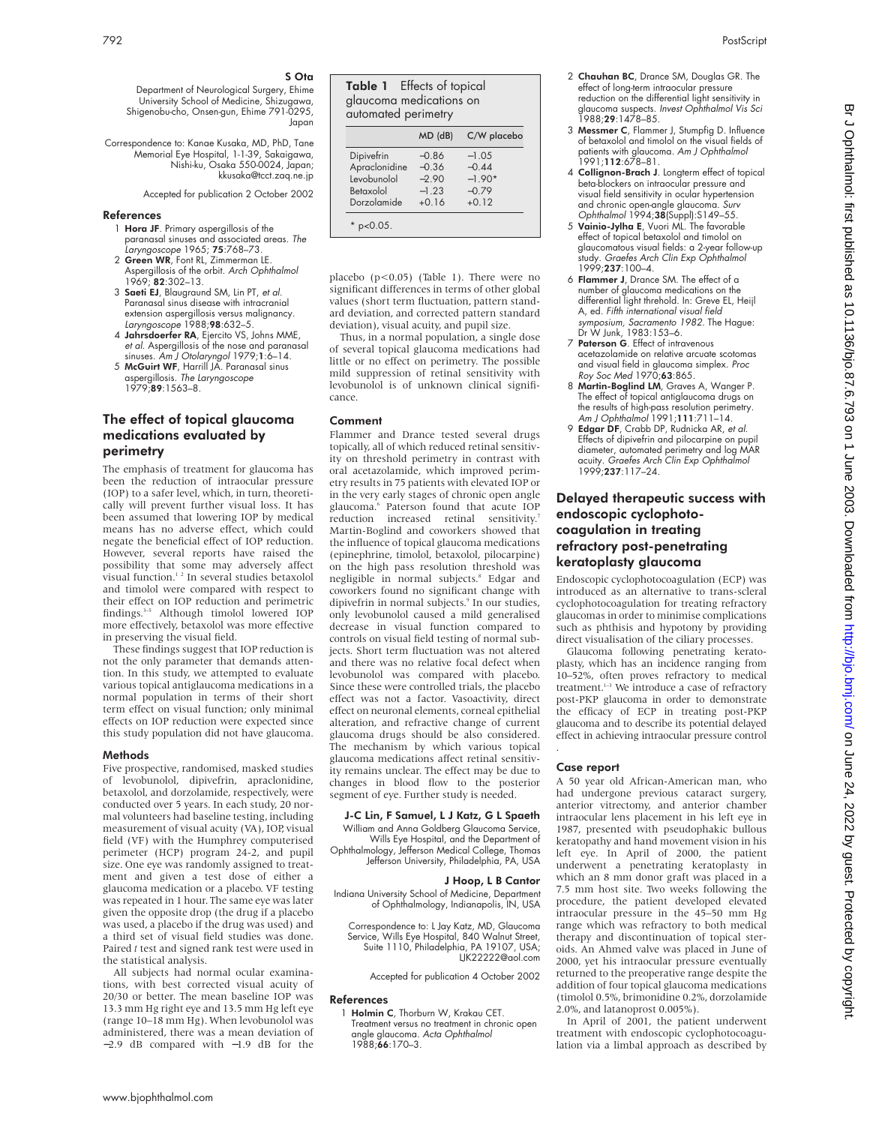S Ota

Department of Neurological Surgery, Ehime University School of Medicine, Shizugawa, Shigenobu-cho, Onsen-gun, Ehime 791-0295, Japan

Correspondence to: Kanae Kusaka, MD, PhD, Tane Memorial Eye Hospital, 1-1-39, Sakaigawa, Nishi-ku, Osaka 550-0024, Japan; kkusaka@tcct.zaq.ne.jp

Accepted for publication 2 October 2002

#### References

- 1 Hora JF. Primary aspergillosis of the paranasal sinuses and associated areas. The Laryngoscope 1965; 75:768–73.
- 2 Green WR, Font RL, Zimmerman LE Aspergillosis of the orbit. Arch Ophthalmol 1969; 82:302–13. 3 Saeti EJ, Blaugraund SM, Lin PT, et al.
- Paranasal sinus disease with intracranial extension aspergillosis versus malignancy. Laryngoscope 1988;98:632–5.
- 4 Jahrsdoerfer RA, Ejercito VS, Johns MME, et al. Aspergillosis of the nose and paranasal sinuses. Am J Otolaryngol 1979;1:6-14.
- 5 McGuirt WF, Harrill JA. Paranasal sinus aspergillosis. The Laryngoscope 1979;89:1563–8.

# The effect of topical glaucoma medications evaluated by perimetry

The emphasis of treatment for glaucoma has been the reduction of intraocular pressure (IOP) to a safer level, which, in turn, theoretically will prevent further visual loss. It has been assumed that lowering IOP by medical means has no adverse effect, which could negate the beneficial effect of IOP reduction. However, several reports have raised the possibility that some may adversely affect visual function.<sup>12</sup> In several studies betaxolol and timolol were compared with respect to their effect on IOP reduction and perimetric findings.<sup>3-5</sup> Although timolol lowered IOP more effectively, betaxolol was more effective in preserving the visual field.

These findings suggest that IOP reduction is not the only parameter that demands attention. In this study, we attempted to evaluate various topical antiglaucoma medications in a normal population in terms of their short term effect on visual function; only minimal effects on IOP reduction were expected since this study population did not have glaucoma.

#### Methods

Five prospective, randomised, masked studies of levobunolol, dipivefrin, apraclonidine, betaxolol, and dorzolamide, respectively, were conducted over 5 years. In each study, 20 normal volunteers had baseline testing, including measurement of visual acuity (VA), IOP, visual field (VF) with the Humphrey computerised perimeter (HCP) program 24-2, and pupil size. One eye was randomly assigned to treatment and given a test dose of either a glaucoma medication or a placebo. VF testing was repeated in 1 hour. The same eye was later given the opposite drop (the drug if a placebo was used, a placebo if the drug was used) and a third set of visual field studies was done. Paired *t* test and signed rank test were used in the statistical analysis.

All subjects had normal ocular examinations, with best corrected visual acuity of 20/30 or better. The mean baseline IOP was 13.3 mm Hg right eye and 13.5 mm Hg left eye (range 10–18 mm Hg). When levobunolol was administered, there was a mean deviation of −2.9 dB compared with −1.9 dB for the Table 1 Effects of topical glaucoma medications on automated perimetry

|                    | $MD$ ( $dB$ ) | C/W placebo |
|--------------------|---------------|-------------|
| Dipivefrin         | $-0.86$       | $-1.05$     |
| Apraclonidine      | $-0.36$       | $-0.44$     |
| <b>Levobunolol</b> | $-2.90$       | $-1.90*$    |
| Betaxolol          | $-1.23$       | $-0.79$     |
| Dorzolamide        | $+0.16$       | $+0.12$     |

placebo  $(p<0.05)$  (Table 1). There were no significant differences in terms of other global values (short term fluctuation, pattern standard deviation, and corrected pattern standard deviation), visual acuity, and pupil size.

Thus, in a normal population, a single dose of several topical glaucoma medications had little or no effect on perimetry. The possible mild suppression of retinal sensitivity with levobunolol is of unknown clinical significance.

#### Comment

Flammer and Drance tested several drugs topically, all of which reduced retinal sensitivity on threshold perimetry in contrast with oral acetazolamide, which improved perimetry results in 75 patients with elevated IOP or in the very early stages of chronic open angle glaucoma.6 Paterson found that acute IOP reduction increased retinal sensitivity.<sup>7</sup> Martin-Boglind and coworkers showed that the influence of topical glaucoma medications (epinephrine, timolol, betaxolol, pilocarpine) on the high pass resolution threshold was negligible in normal subjects.<sup>8</sup> Edgar and coworkers found no significant change with dipivefrin in normal subjects.<sup>9</sup> In our studies, only levobunolol caused a mild generalised decrease in visual function compared to controls on visual field testing of normal subjects. Short term fluctuation was not altered and there was no relative focal defect when levobunolol was compared with placebo. Since these were controlled trials, the placebo effect was not a factor. Vasoactivity, direct effect on neuronal elements, corneal epithelial alteration, and refractive change of current glaucoma drugs should be also considered. The mechanism by which various topical glaucoma medications affect retinal sensitivity remains unclear. The effect may be due to changes in blood flow to the posterior segment of eye. Further study is needed.

#### J-C Lin, F Samuel, L J Katz, G L Spaeth

William and Anna Goldberg Glaucoma Service, Wills Eye Hospital, and the Department of

Ophthalmology, Jefferson Medical College, Thomas Jefferson University, Philadelphia, PA, USA

#### J Hoop, L B Cantor

Indiana University School of Medicine, Department of Ophthalmology, Indianapolis, IN, USA

Correspondence to: L Jay Katz, MD, Glaucoma Service, Wills Eye Hospital, 840 Walnut Street, Suite 1110, Philadelphia, PA 19107, USA;  $L$ IK22222@aol.com

Accepted for publication 4 October 2002

#### References

1 Holmin C, Thorburn W, Krakau CET. Treatment versus no treatment in chronic open angle glaucoma. Acta Ophthalmol 1988;66:170–3.

- 2 Chauhan BC, Drance SM, Douglas GR. The effect of long-term intraocular pressure reduction on the differential light sensitivity in glaucoma suspects. Invest Ophthalmol Vis Sci  $1988:29:1478-85.$
- 3 Messmer C, Flammer J, Stumpfig D. Influence of betaxolol and timolol on the visual fields of patients with glaucoma. *Am J Ophthalmol*<br>1991;**112**:678–81.
- 4 Collignon-Brach J. Longterm effect of topical beta-blockers on intraocular pressure and visual field sensitivity in ocular hypertension and chronic open-angle glaucoma. *Surv<br>Ophthalmol* 1994;**38**(Suppl):S149–55.<br>5 **Vainio-Jylha E**, Vuori ML. The favorable
- effect of topical betaxolol and timolol on glaucomatous visual fields: a 2-year follow-up study. Graefes Arch Clin Exp Ophthalmol 1999;237:100–4.
- 6 Flammer J, Drance SM. The effect of a number of glaucoma medications on the differential light threhold. In: Greve EL, Heijl A, ed. Fifth international visual field symposium, Sacramento 1982. The Hague: Dr W Junk, 1983:153–6.
- 7 Paterson G. Effect of intravenous acetazolamide on relative arcuate scotomas and visual field in glaucoma simplex. *Proc*<br>Roy Soc Med 1970;**63**:865.
- 8 Martin-Boglind LM, Graves A, Wanger P. The effect of topical antiglaucoma drugs on the results of high-pass resolution perimetry.<br>A*m J Ophthalmol* 1991;**111**:711–14.
- 9 Edgar DF, Crabb DP, Rudnicka AR, et al. Effects of dipivefrin and pilocarpine on pupil diameter, automated perimetry and log MAR acuity. Graefes Arch Clin Exp Ophthalmol 1999;237:117–24.

# Delayed therapeutic success with endoscopic cyclophotocoagulation in treating refractory post-penetrating keratoplasty glaucoma

Endoscopic cyclophotocoagulation (ECP) was introduced as an alternative to trans-scleral cyclophotocoagulation for treating refractory glaucomas in order to minimise complications such as phthisis and hypotony by providing direct visualisation of the ciliary processes.

Glaucoma following penetrating keratoplasty, which has an incidence ranging from 10–52%, often proves refractory to medical treatment.<sup>1-3</sup> We introduce a case of refractory post-PKP glaucoma in order to demonstrate the efficacy of ECP in treating post-PKP glaucoma and to describe its potential delayed effect in achieving intraocular pressure control .

#### Case report

A 50 year old African-American man, who had undergone previous cataract surgery, anterior vitrectomy, and anterior chamber intraocular lens placement in his left eye in 1987, presented with pseudophakic bullous keratopathy and hand movement vision in his left eye. In April of 2000, the patient underwent a penetrating keratoplasty in which an 8 mm donor graft was placed in a 7.5 mm host site. Two weeks following the procedure, the patient developed elevated intraocular pressure in the 45–50 mm Hg range which was refractory to both medical therapy and discontinuation of topical steroids. An Ahmed valve was placed in June of 2000, yet his intraocular pressure eventually returned to the preoperative range despite the addition of four topical glaucoma medications (timolol 0.5%, brimonidine 0.2%, dorzolamide 2.0%, and latanoprost 0.005%).

In April of 2001, the patient underwent treatment with endoscopic cyclophotocoagulation via a limbal approach as described by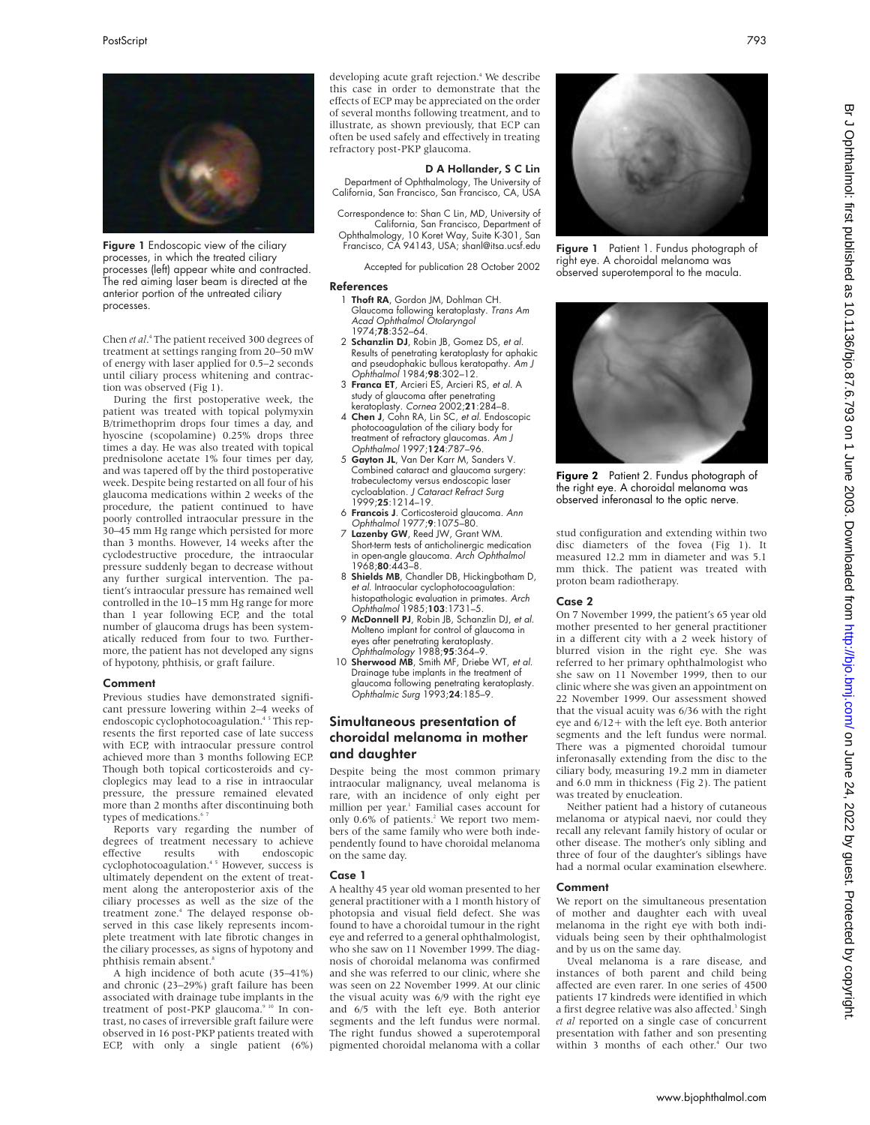

Figure 1 Endoscopic view of the ciliary processes, in which the treated ciliary processes (left) appear white and contracted. The red aiming laser beam is directed at the anterior portion of the untreated ciliary processes.

Chen *et al*. <sup>4</sup> The patient received 300 degrees of treatment at settings ranging from 20–50 mW of energy with laser applied for 0.5–2 seconds until ciliary process whitening and contraction was observed (Fig 1).

During the first postoperative week, the patient was treated with topical polymyxin B/trimethoprim drops four times a day, and hyoscine (scopolamine) 0.25% drops three times a day. He was also treated with topical prednisolone acetate 1% four times per day, and was tapered off by the third postoperative week. Despite being restarted on all four of his glaucoma medications within 2 weeks of the procedure, the patient continued to have poorly controlled intraocular pressure in the 30–45 mm Hg range which persisted for more than 3 months. However, 14 weeks after the cyclodestructive procedure, the intraocular pressure suddenly began to decrease without any further surgical intervention. The patient's intraocular pressure has remained well controlled in the 10–15 mm Hg range for more than 1 year following ECP, and the total number of glaucoma drugs has been systematically reduced from four to two. Furthermore, the patient has not developed any signs of hypotony, phthisis, or graft failure.

#### Comment

Previous studies have demonstrated significant pressure lowering within 2–4 weeks of endoscopic cyclophotocoagulation.<sup>45</sup> This represents the first reported case of late success with ECP, with intraocular pressure control achieved more than 3 months following ECP. Though both topical corticosteroids and cycloplegics may lead to a rise in intraocular pressure, the pressure remained elevated more than 2 months after discontinuing both types of medications.<sup>4</sup>

Reports vary regarding the number of degrees of treatment necessary to achieve effective results with endoscopic cyclophotocoagulation.4 5 However, success is ultimately dependent on the extent of treatment along the anteroposterior axis of the ciliary processes as well as the size of the treatment zone.<sup>4</sup> The delayed response observed in this case likely represents incomplete treatment with late fibrotic changes in the ciliary processes, as signs of hypotony and phthisis remain absent.8

A high incidence of both acute (35–41%) and chronic (23–29%) graft failure has been associated with drainage tube implants in the treatment of post-PKP glaucoma.<sup>9 10</sup> In contrast, no cases of irreversible graft failure were observed in 16 post-PKP patients treated with ECP, with only a single patient (6%)

developing acute graft rejection.<sup>4</sup> We describe this case in order to demonstrate that the effects of ECP may be appreciated on the order of several months following treatment, and to illustrate, as shown previously, that ECP can often be used safely and effectively in treating refractory post-PKP glaucoma.

#### D A Hollander, S C Lin

Department of Ophthalmology, The University of California, San Francisco, San Francisco, CA, USA

Correspondence to: Shan C Lin, MD, University of California, San Francisco, Department of Ophthalmology, 10 Koret Way, Suite K-301, San Francisco, CA 94143, USA; shanl@itsa.ucsf.edu

Accepted for publication 28 October 2002

#### References

- 1 Thoft RA, Gordon JM, Dohlman CH. Glaucoma following keratoplasty. Trans Am Acad Ophthalmol Otolaryngol 1974;78:352–64.
- 2 Schanzlin DJ, Robin JB, Gomez DS, et al. Results of penetrating keratoplasty for aphakic and pseudophakic bullous keratopathy. Am J Ophthalmol 1984;98:302–12.
- 3 Franca ET, Arcieri ES, Arcieri RS, et al. A study of glaucoma after penetrating
- keratoplasty. *Cornea* 2002;**21**:284–8.<br>4 **Chen J**, Cohn RA, Lin SC, *et al*. Endoscopic photocoagulation of the ciliary body for treatment of refractory glaucomas. Am J Ophthalmol 1997;124:787–96.
- 5 Gayton JL, Van Der Karr M, Sanders V. Combined cataract and glaucoma surgery: trabeculectomy versus endoscopic laser cycloablation. J Cataract Refract Surg 1999;25:1214–19.
- 6 Francois J. Corticosteroid glaucoma. Ann Ophthalmol 1977;9:1075–80.
- 7 Lazenby GW, Reed JW, Grant WM. Short-term tests of anticholinergic medication in open-angle glaucoma. Arch Ophthalmol 1968;**80**:443–8.
- 8 Shields MB, Chandler DB, Hickingbotham D, et al. Intraocular cyclophotocoagulation: histopathologic evaluation in primates. *Arch*<br>Ophthalmol 1985;**103**:1731–5.
- 9 McDonnell PJ, Robin JB, Schanzlin DJ, et al. Molteno implant for control of glaucoma in eyes after penetrating keratoplasty. Ophthalmology 1988;95:364–9.
- 10 Sherwood MB, Smith MF, Driebe WT, et al. Drainage tube implants in the treatment of glaucoma following penetrating keratoplasty.<br>*Ophthalmic Surg* 1993;**24**:185–9.

# Simultaneous presentation of choroidal melanoma in mother and daughter

Despite being the most common primary intraocular malignancy, uveal melanoma is rare, with an incidence of only eight per million per year.<sup>1</sup> Familial cases account for only 0.6% of patients.<sup>2</sup> We report two members of the same family who were both independently found to have choroidal melanoma on the same day.

#### Case 1

A healthy 45 year old woman presented to her general practitioner with a 1 month history of photopsia and visual field defect. She was found to have a choroidal tumour in the right eye and referred to a general ophthalmologist, who she saw on 11 November 1999. The diagnosis of choroidal melanoma was confirmed and she was referred to our clinic, where she was seen on 22 November 1999. At our clinic the visual acuity was 6/9 with the right eye and 6/5 with the left eye. Both anterior segments and the left fundus were normal. The right fundus showed a superotemporal pigmented choroidal melanoma with a collar



Figure 1 Patient 1. Fundus photograph of right eye. A choroidal melanoma was observed superotemporal to the macula.



Figure 2 Patient 2. Fundus photograph of the right eye. A choroidal melanoma was observed inferonasal to the optic nerve.

stud configuration and extending within two disc diameters of the fovea (Fig 1). It measured 12.2 mm in diameter and was 5.1 mm thick. The patient was treated with proton beam radiotherapy.

#### Case 2

On 7 November 1999, the patient's 65 year old mother presented to her general practitioner in a different city with a 2 week history of blurred vision in the right eye. She was referred to her primary ophthalmologist who she saw on 11 November 1999, then to our clinic where she was given an appointment on 22 November 1999. Our assessment showed that the visual acuity was 6/36 with the right eye and 6/12+ with the left eye. Both anterior segments and the left fundus were normal. There was a pigmented choroidal tumour inferonasally extending from the disc to the ciliary body, measuring 19.2 mm in diameter and 6.0 mm in thickness (Fig 2). The patient was treated by enucleation.

Neither patient had a history of cutaneous melanoma or atypical naevi, nor could they recall any relevant family history of ocular or other disease. The mother's only sibling and three of four of the daughter's siblings have had a normal ocular examination elsewhere.

#### Comment

We report on the simultaneous presentation of mother and daughter each with uveal melanoma in the right eye with both individuals being seen by their ophthalmologist and by us on the same day.

Uveal melanoma is a rare disease, and instances of both parent and child being affected are even rarer. In one series of 4500 patients 17 kindreds were identified in which a first degree relative was also affected.<sup>3</sup> Singh *et al* reported on a single case of concurrent presentation with father and son presenting within 3 months of each other.<sup>4</sup> Our two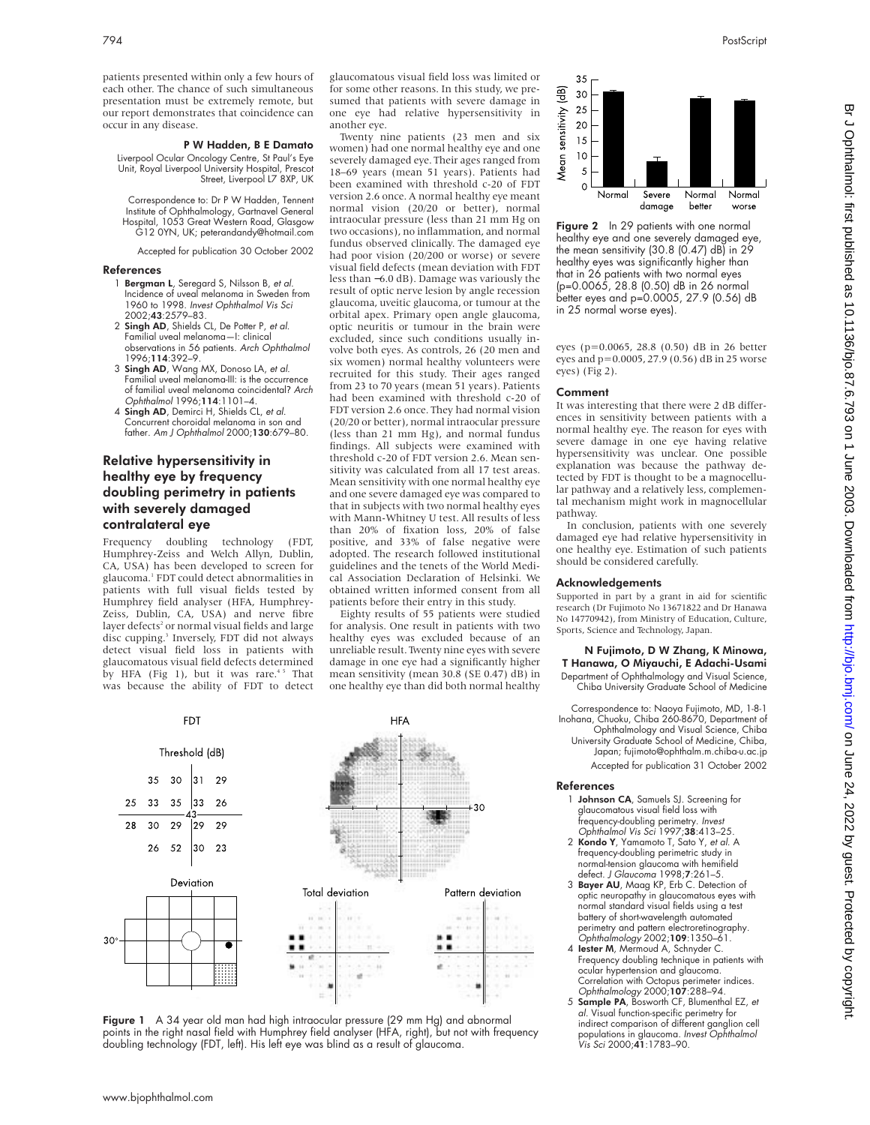patients presented within only a few hours of each other. The chance of such simultaneous presentation must be extremely remote, but our report demonstrates that coincidence can occur in any disease.

#### P W Hadden, B E Damato

Liverpool Ocular Oncology Centre, St Paul's Eye Unit, Royal Liverpool University Hospital, Prescot Street, Liverpool L7 8XP, UK

Correspondence to: Dr P W Hadden, Tennent Institute of Ophthalmology, Gartnavel General Hospital, 1053 Great Western Road, Glasgow G12 0YN, UK; peterandandy@hotmail.com

Accepted for publication 30 October 2002

#### References

- 1 Bergman L, Seregard S, Nilsson B, et al. Incidence of uveal melanoma in Sweden from 1960 to 1998. Invest Ophthalmol Vis Sci 2002;43:2579–83.
- 2 Singh AD, Shields CL, De Potter P, et al. Familial uveal melanoma—I: clinical observations in 56 patients. Arch Ophthalmol 1996;114:392–9.
- 3 Singh AD, Wang MX, Donoso LA, et al. Familial uveal melanoma-III: is the occurrence of familial uveal melanoma coincidental? Arch Ophthalmol 1996;114:1101–4.
- 4 Singh AD, Demirci H, Shields CL, et al. Concurrent choroidal melanoma in son and father. Am J Ophthalmol 2000;130:679–80.

# Relative hypersensitivity in healthy eye by frequency doubling perimetry in patients with severely damaged contralateral eye

Frequency doubling technology (FDT, Humphrey-Zeiss and Welch Allyn, Dublin, CA, USA) has been developed to screen for glaucoma.1 FDT could detect abnormalities in patients with full visual fields tested by Humphrey field analyser (HFA, Humphrey-Zeiss, Dublin, CA, USA) and nerve fibre layer defects<sup>2</sup> or normal visual fields and large disc cupping.<sup>3</sup> Inversely, FDT did not always detect visual field loss in patients with glaucomatous visual field defects determined by HFA (Fig 1), but it was rare.<sup>45</sup> That was because the ability of FDT to detect

glaucomatous visual field loss was limited or for some other reasons. In this study, we presumed that patients with severe damage in one eye had relative hypersensitivity in another eye.

Twenty nine patients (23 men and six women) had one normal healthy eye and one severely damaged eye. Their ages ranged from 18–69 years (mean 51 years). Patients had been examined with threshold c-20 of FDT version 2.6 once. A normal healthy eye meant normal vision (20/20 or better), normal intraocular pressure (less than 21 mm Hg on two occasions), no inflammation, and normal fundus observed clinically. The damaged eye had poor vision (20/200 or worse) or severe visual field defects (mean deviation with FDT less than −6.0 dB). Damage was variously the result of optic nerve lesion by angle recession glaucoma, uveitic glaucoma, or tumour at the orbital apex. Primary open angle glaucoma, optic neuritis or tumour in the brain were excluded, since such conditions usually involve both eyes. As controls, 26 (20 men and six women) normal healthy volunteers were recruited for this study. Their ages ranged from 23 to 70 years (mean 51 years). Patients had been examined with threshold c-20 of FDT version 2.6 once. They had normal vision (20/20 or better), normal intraocular pressure (less than 21 mm Hg), and normal fundus findings. All subjects were examined with threshold c-20 of FDT version 2.6. Mean sensitivity was calculated from all 17 test areas. Mean sensitivity with one normal healthy eye and one severe damaged eye was compared to that in subjects with two normal healthy eyes with Mann-Whitney U test. All results of less than 20% of fixation loss, 20% of false positive, and 33% of false negative were adopted. The research followed institutional guidelines and the tenets of the World Medical Association Declaration of Helsinki. We obtained written informed consent from all patients before their entry in this study.

Eighty results of 55 patients were studied for analysis. One result in patients with two healthy eyes was excluded because of an unreliable result. Twenty nine eyes with severe damage in one eye had a significantly higher mean sensitivity (mean 30.8 (SE 0.47) dB) in one healthy eye than did both normal healthy



**Figure 1** A 34 year old man had high intraocular pressure (29 mm Hg) and abnormal points in the right nasal field with Humphrey field analyser (HFA, right), but not with frequency doubling technology (FDT, left). His left eye was blind as a result of glaucoma.



Figure 2 In 29 patients with one normal healthy eye and one severely damaged eye, the mean sensitivity (30.8 (0.47) dB) in 29 healthy eyes was significantly higher than that in 26 patients with two normal eyes (p=0.0065, 28.8 (0.50) dB in 26 normal better eyes and p=0.0005, 27.9 (0.56) dB in 25 normal worse eyes).

eyes (p=0.0065, 28.8 (0.50) dB in 26 better eyes and p=0.0005, 27.9 (0.56) dB in 25 worse eyes) (Fig 2).

#### Comment

It was interesting that there were 2 dB differences in sensitivity between patients with a normal healthy eye. The reason for eyes with severe damage in one eye having relative hypersensitivity was unclear. One possible explanation was because the pathway detected by FDT is thought to be a magnocellular pathway and a relatively less, complemental mechanism might work in magnocellular pathway.

In conclusion, patients with one severely damaged eye had relative hypersensitivity in one healthy eye. Estimation of such patients should be considered carefully.

#### Acknowledgements

Supported in part by a grant in aid for scientific research (Dr Fujimoto No 13671822 and Dr Hanawa No 14770942), from Ministry of Education, Culture, Sports, Science and Technology, Japan.

# N Fujimoto, D W Zhang, K Minowa, T Hanawa, O Miyauchi, E Adachi-Usami

Department of Ophthalmology and Visual Science, Chiba University Graduate School of Medicine

Correspondence to: Naoya Fujimoto, MD, 1-8-1 Inohana, Chuoku, Chiba 260-8670, Department of Ophthalmology and Visual Science, Chiba University Graduate School of Medicine, Chiba, Japan; fujimoto@ophthalm.m.chiba-u.ac.jp Accepted for publication 31 October 2002

#### References

- 1 Johnson CA, Samuels SJ. Screening for glaucomatous visual field loss with frequency-doubling perimetry. Invest Ophthalmol Vis Sci 1997;38:413-25.
- 2 Kondo Y, Yamamoto T, Sato Y, et al. A frequency-doubling perimetric study in normal-tension glaucoma with hemifield defect. J Glaucoma 1998;7:261-5.
- 3 Bayer AU, Maag KP, Erb C. Detection of optic neuropathy in glaucomatous eyes with normal standard visual fields using a test battery of short-wavelength automated perimetry and pattern electroretinography.<br>Ophthalmology 2002;**109**:1350–61.<br>**4 lester M**, Mermoud A, Schnyder C.
- Frequency doubling technique in patients with ocular hypertension and glaucoma.
- Correlation with Octopus perimeter indices.<br>Ophthalmology 2000;1**07**:288–94.<br>5 **Sample PA**, Bosworth CF, Blumenthal EZ, *et* al. Visual function-specific perimetry for indirect comparison of different ganglion cell populations in glaucoma. Invest Ophthalmol Vis Sci 2000;41:1783–90.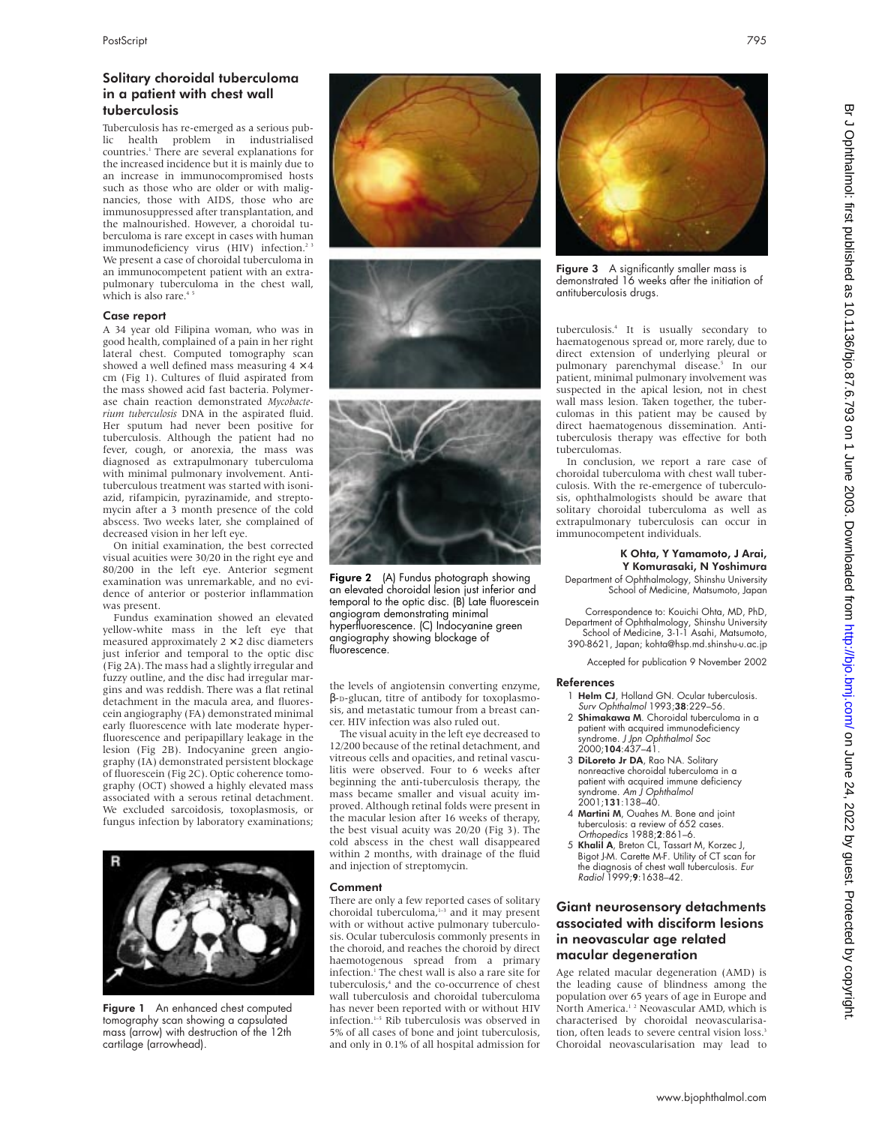# Solitary choroidal tuberculoma in a patient with chest wall tuberculosis

Tuberculosis has re-emerged as a serious public health problem in industrialised countries.1 There are several explanations for the increased incidence but it is mainly due to an increase in immunocompromised hosts such as those who are older or with malignancies, those with AIDS, those who are immunosuppressed after transplantation, and the malnourished. However, a choroidal tuberculoma is rare except in cases with human immunodeficiency virus (HIV) infection.<sup>2 3</sup> We present a case of choroidal tuberculoma in an immunocompetent patient with an extrapulmonary tuberculoma in the chest wall, which is also rare.<sup>45</sup>

#### Case report

A 34 year old Filipina woman, who was in good health, complained of a pain in her right lateral chest. Computed tomography scan showed a well defined mass measuring  $4\times 4$ cm (Fig 1). Cultures of fluid aspirated from the mass showed acid fast bacteria. Polymerase chain reaction demonstrated *Mycobacterium tuberculosis* DNA in the aspirated fluid. Her sputum had never been positive for tuberculosis. Although the patient had no fever, cough, or anorexia, the mass was diagnosed as extrapulmonary tuberculoma with minimal pulmonary involvement. Antituberculous treatment was started with isoniazid, rifampicin, pyrazinamide, and streptomycin after a 3 month presence of the cold abscess. Two weeks later, she complained of decreased vision in her left eye.

On initial examination, the best corrected visual acuities were 30/20 in the right eye and 80/200 in the left eye. Anterior segment examination was unremarkable, and no evidence of anterior or posterior inflammation was present.

Fundus examination showed an elevated yellow-white mass in the left eye that measured approximately  $2 \times 2$  disc diameters just inferior and temporal to the optic disc (Fig 2A). The mass had a slightly irregular and fuzzy outline, and the disc had irregular margins and was reddish. There was a flat retinal detachment in the macula area, and fluorescein angiography (FA) demonstrated minimal early fluorescence with late moderate hyperfluorescence and peripapillary leakage in the lesion (Fig 2B). Indocyanine green angiography (IA) demonstrated persistent blockage of fluorescein (Fig 2C). Optic coherence tomography (OCT) showed a highly elevated mass associated with a serous retinal detachment. We excluded sarcoidosis, toxoplasmosis, or fungus infection by laboratory examinations;



Figure 1 An enhanced chest computed tomography scan showing a capsulated mass (arrow) with destruction of the 12th cartilage (arrowhead).







**Figure 2** (A) Fundus photograph showing an elevated choroidal lesion just inferior and temporal to the optic disc. (B) Late fluorescein angiogram demonstrating minimal hyperfluorescence. (C) Indocyanine green angiography showing blockage of fluorescence.

the levels of angiotensin converting enzyme, β-D-glucan, titre of antibody for toxoplasmosis, and metastatic tumour from a breast cancer. HIV infection was also ruled out.

The visual acuity in the left eye decreased to 12/200 because of the retinal detachment, and vitreous cells and opacities, and retinal vasculitis were observed. Four to 6 weeks after beginning the anti-tuberculosis therapy, the mass became smaller and visual acuity improved. Although retinal folds were present in the macular lesion after 16 weeks of therapy, the best visual acuity was 20/20 (Fig 3). The cold abscess in the chest wall disappeared within 2 months, with drainage of the fluid and injection of streptomycin.

#### Comment

There are only a few reported cases of solitary choroidal tuberculoma, $1-3$  and it may present with or without active pulmonary tuberculosis. Ocular tuberculosis commonly presents in the choroid, and reaches the choroid by direct haemotogenous spread from a primary infection.<sup>1</sup> The chest wall is also a rare site for tuberculosis,<sup>4</sup> and the co-occurrence of chest wall tuberculosis and choroidal tuberculoma has never been reported with or without HIV infection.1–5 Rib tuberculosis was observed in 5% of all cases of bone and joint tuberculosis, and only in 0.1% of all hospital admission for



Figure 3 A significantly smaller mass is demonstrated 16 weeks after the initiation of antituberculosis drugs.

tuberculosis.4 It is usually secondary to haematogenous spread or, more rarely, due to direct extension of underlying pleural or pulmonary parenchymal disease.<sup>5</sup> In our patient, minimal pulmonary involvement was suspected in the apical lesion, not in chest wall mass lesion. Taken together, the tuberculomas in this patient may be caused by direct haematogenous dissemination. Antituberculosis therapy was effective for both tuberculomas.

In conclusion, we report a rare case of choroidal tuberculoma with chest wall tuberculosis. With the re-emergence of tuberculosis, ophthalmologists should be aware that solitary choroidal tuberculoma as well as extrapulmonary tuberculosis can occur in immunocompetent individuals.

#### K Ohta, Y Yamamoto, J Arai, Y Komurasaki, N Yoshimura

Department of Ophthalmology, Shinshu University School of Medicine, Matsumoto, Japan

Correspondence to: Kouichi Ohta, MD, PhD, Department of Ophthalmology, Shinshu University School of Medicine, 3-1-1 Asahi, Matsumoto, 390-8621, Japan; kohta@hsp.md.shinshu-u.ac.jp

Accepted for publication 9 November 2002

#### References

- 1 Helm CJ, Holland GN. Ocular tuberculosis. Surv Ophthalmol 1993;38:229–56.
- 2 Shimakawa M. Choroidal tuberculoma in a patient with acquired immunodeficiency syndrome. J Jpn Ophthalmol Soc 2000;104:437–41.
- 3 DiLoreto Jr DA, Rao NA. Solitary nonreactive choroidal tuberculoma in a patient with acquired immune deficiency syndrome. Am J Ophthalmol 2001;131:138–40.
- 4 Martini M, Ouahes M. Bone and joint tuberculosis: a review of 652 cases. Orthopedics 1988;2:861–6.
- 5 Khalil A, Breton CL, Tassart M, Korzec J, Bigot J-M. Carette M-F. Utility of CT scan for the diagnosis of chest wall tuberculosis. Eur Radiol 1999;9:1638–42.

# Giant neurosensory detachments associated with disciform lesions in neovascular age related macular degeneration

Age related macular degeneration (AMD) is the leading cause of blindness among the population over 65 years of age in Europe and North America.1 2 Neovascular AMD, which is characterised by choroidal neovascularisation, often leads to severe central vision loss.<sup>3</sup> Choroidal neovascularisation may lead to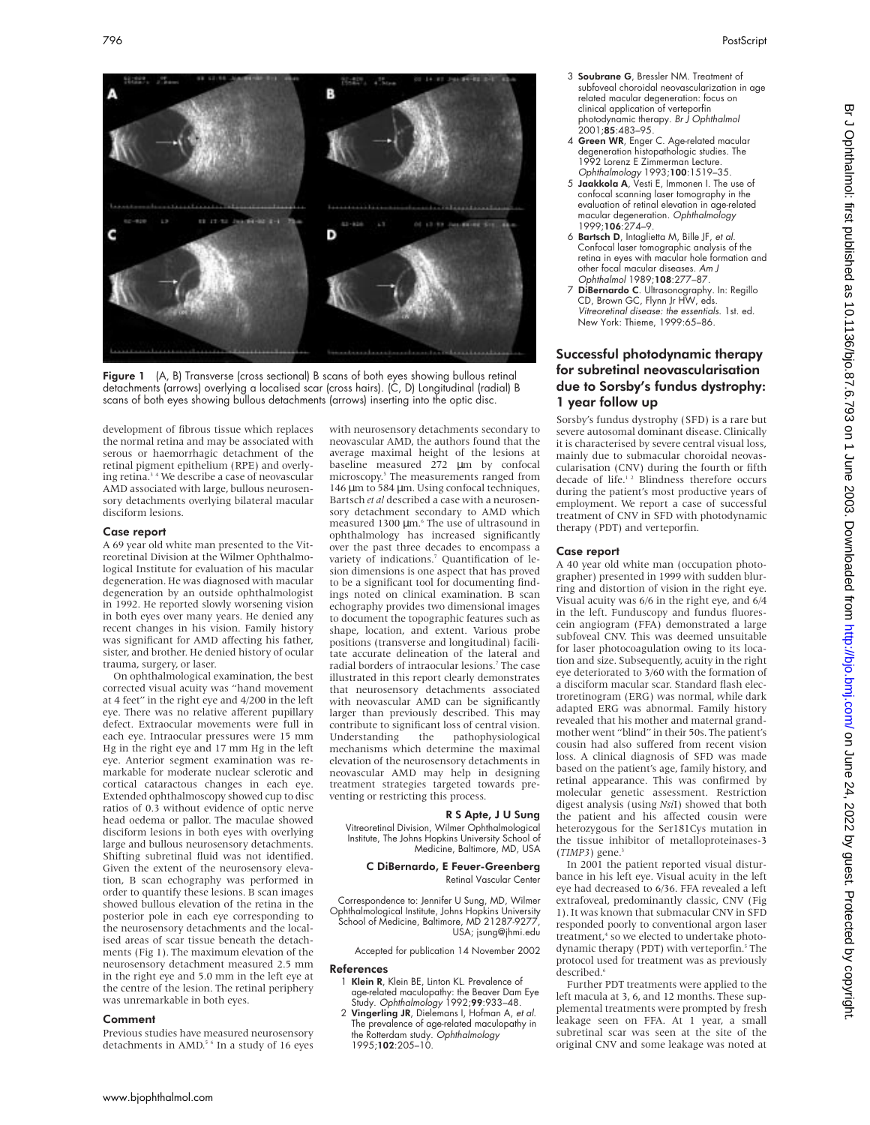

**Figure 1** (A, B) Transverse (cross sectional) B scans of both eyes showing bullous retinal detachments (arrows) overlying a localised scar (cross hairs). (C, D) Longitudinal (radial) B scans of both eyes showing bullous detachments (arrows) inserting into the optic disc.

development of fibrous tissue which replaces the normal retina and may be associated with serous or haemorrhagic detachment of the retinal pigment epithelium (RPE) and overlying retina.3 4 We describe a case of neovascular AMD associated with large, bullous neurosensory detachments overlying bilateral macular disciform lesions.

#### Case report

A 69 year old white man presented to the Vitreoretinal Division at the Wilmer Ophthalmological Institute for evaluation of his macular degeneration. He was diagnosed with macular degeneration by an outside ophthalmologist in 1992. He reported slowly worsening vision in both eyes over many years. He denied any recent changes in his vision. Family history was significant for AMD affecting his father, sister, and brother. He denied history of ocular trauma, surgery, or laser.

On ophthalmological examination, the best corrected visual acuity was "hand movement at 4 feet" in the right eye and 4/200 in the left eye. There was no relative afferent pupillary defect. Extraocular movements were full in each eye. Intraocular pressures were 15 mm Hg in the right eye and 17 mm Hg in the left eye. Anterior segment examination was remarkable for moderate nuclear sclerotic and cortical cataractous changes in each eye. Extended ophthalmoscopy showed cup to disc ratios of 0.3 without evidence of optic nerve head oedema or pallor. The maculae showed disciform lesions in both eyes with overlying large and bullous neurosensory detachments. Shifting subretinal fluid was not identified. Given the extent of the neurosensory elevation, B scan echography was performed in order to quantify these lesions. B scan images showed bullous elevation of the retina in the posterior pole in each eye corresponding to the neurosensory detachments and the localised areas of scar tissue beneath the detachments (Fig 1). The maximum elevation of the neurosensory detachment measured 2.5 mm in the right eye and 5.0 mm in the left eye at the centre of the lesion. The retinal periphery was unremarkable in both eyes.

#### Comment

Previous studies have measured neurosensory detachments in AMD.<sup>5 6</sup> In a study of 16 eyes with neurosensory detachments secondary to neovascular AMD, the authors found that the average maximal height of the lesions at baseline measured 272 µm by confocal microscopy.5 The measurements ranged from 146 µm to 584 µm. Using confocal techniques, Bartsch *et al* described a case with a neurosensory detachment secondary to AMD which measured 1300 µm.<sup>6</sup> The use of ultrasound in ophthalmology has increased significantly over the past three decades to encompass a variety of indications.7 Quantification of lesion dimensions is one aspect that has proved to be a significant tool for documenting findings noted on clinical examination. B scan echography provides two dimensional images to document the topographic features such as shape, location, and extent. Various probe positions (transverse and longitudinal) facilitate accurate delineation of the lateral and radial borders of intraocular lesions.7 The case illustrated in this report clearly demonstrates that neurosensory detachments associated with neovascular AMD can be significantly larger than previously described. This may contribute to significant loss of central vision. Understanding the pathophysiological mechanisms which determine the maximal elevation of the neurosensory detachments in neovascular AMD may help in designing treatment strategies targeted towards preventing or restricting this process.

### R S Apte, J U Sung

Vitreoretinal Division, Wilmer Ophthalmological Institute, The Johns Hopkins University School of Medicine, Baltimore, MD, USA

#### C DiBernardo, E Feuer-Greenberg Retinal Vascular Center

Correspondence to: Jennifer U Sung, MD, Wilmer Ophthalmological Institute, Johns Hopkins University School of Medicine, Baltimore, MD 21287-9277 USA; jsung@jhmi.edu

Accepted for publication 14 November 2002

#### References

- 1 Klein R, Klein BE, Linton KL. Prevalence of age-related maculopathy: the Beaver Dam Eye Study. Ophthalmology 1992;99:933–48.
- 2 Vingerling JR, Dielemans I, Hofman A, et al. The prevalence of age-related maculopathy in the Rotterdam study. Ophthalmology 1995:102:205-10.
- 3 Soubrane G, Bressler NM. Treatment of subfoveal choroidal neovascularization in age related macular degeneration: focus on clinical application of verteporfin photodynamic therapy. Br J Ophthalmol  $2001.85.483-95$
- 4 Green WR, Enger C. Age-related macular degeneration histopathologic studies. The 1992 Lorenz E Zimmerman Lecture. Ophthalmology 1993;100:1519–35.
- 5 Jaakkola A, Vesti E, Immonen I. The use of confocal scanning laser tomography in the evaluation of retinal elevation in age-related macular degeneration. Ophthalmology 1999;106:274–9.
- 6 Bartsch D, Intaglietta M, Bille JF, et al. Confocal laser tomographic analysis of the retina in eyes with macular hole formation and other focal macular diseases. Am J Ophthalmol 1989;108:277–87.
- 7 DiBernardo C. Ultrasonography. In: Regillo CD, Brown GC, Flynn Jr HW, eds. Vitreoretinal disease: the essentials. 1st. ed. New York: Thieme, 1999:65–86.

# Successful photodynamic therapy for subretinal neovascularisation due to Sorsby's fundus dystrophy: 1 year follow up

Sorsby's fundus dystrophy (SFD) is a rare but severe autosomal dominant disease. Clinically it is characterised by severe central visual loss, mainly due to submacular choroidal neovascularisation (CNV) during the fourth or fifth decade of life.<sup>12</sup> Blindness therefore occurs during the patient's most productive years of employment. We report a case of successful treatment of CNV in SFD with photodynamic therapy (PDT) and verteporfin.

#### Case report

A 40 year old white man (occupation photographer) presented in 1999 with sudden blurring and distortion of vision in the right eye. Visual acuity was 6/6 in the right eye, and 6/4 in the left. Funduscopy and fundus fluorescein angiogram (FFA) demonstrated a large subfoveal CNV. This was deemed unsuitable for laser photocoagulation owing to its location and size. Subsequently, acuity in the right eye deteriorated to 3/60 with the formation of a disciform macular scar. Standard flash electroretinogram (ERG) was normal, while dark adapted ERG was abnormal. Family history revealed that his mother and maternal grandmother went "blind" in their 50s. The patient's cousin had also suffered from recent vision loss. A clinical diagnosis of SFD was made based on the patient's age, family history, and retinal appearance. This was confirmed by molecular genetic assessment. Restriction digest analysis (using *Nsi*I) showed that both the patient and his affected cousin were heterozygous for the Ser181Cys mutation in the tissue inhibitor of metalloproteinases-3  $(TMP3)$  gene.<sup>3</sup>

In 2001 the patient reported visual disturbance in his left eye. Visual acuity in the left eye had decreased to 6/36. FFA revealed a left extrafoveal, predominantly classic, CNV (Fig 1). It was known that submacular CNV in SFD responded poorly to conventional argon laser treatment,<sup>4</sup> so we elected to undertake photodynamic therapy (PDT) with verteporfin.<sup>5</sup> The protocol used for treatment was as previously described.<sup>6</sup>

Further PDT treatments were applied to the left macula at 3, 6, and 12 months. These supplemental treatments were prompted by fresh leakage seen on FFA. At 1 year, a small subretinal scar was seen at the site of the original CNV and some leakage was noted at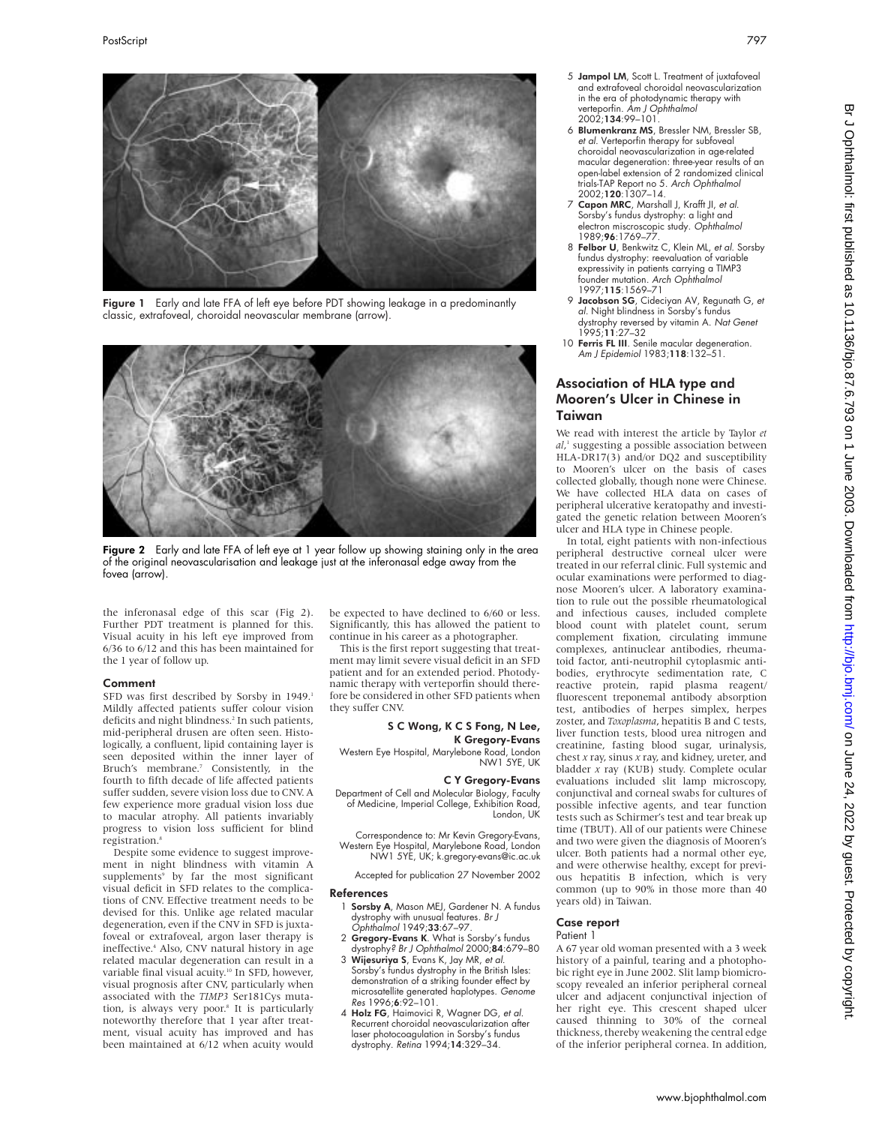

Figure 1 Early and late FFA of left eye before PDT showing leakage in a predominantly classic, extrafoveal, choroidal neovascular membrane (arrow).



Figure 2 Early and late FFA of left eye at 1 year follow up showing staining only in the area of the original neovascularisation and leakage just at the inferonasal edge away from the fovea (arrow).

the inferonasal edge of this scar (Fig 2). Further PDT treatment is planned for this. Visual acuity in his left eye improved from 6/36 to 6/12 and this has been maintained for the 1 year of follow up.

#### Comment

SFD was first described by Sorsby in 1949.1 Mildly affected patients suffer colour vision deficits and night blindness.<sup>2</sup> In such patients, mid-peripheral drusen are often seen. Histologically, a confluent, lipid containing layer is seen deposited within the inner layer of Bruch's membrane.<sup>7</sup> Consistently, in the fourth to fifth decade of life affected patients suffer sudden, severe vision loss due to CNV. A few experience more gradual vision loss due to macular atrophy. All patients invariably progress to vision loss sufficient for blind registration.<sup>8</sup>

Despite some evidence to suggest improvement in night blindness with vitamin A supplements<sup>9</sup> by far the most significant visual deficit in SFD relates to the complications of CNV. Effective treatment needs to be devised for this. Unlike age related macular degeneration, even if the CNV in SFD is juxtafoveal or extrafoveal, argon laser therapy is ineffective.4 Also, CNV natural history in age related macular degeneration can result in a variable final visual acuity.<sup>10</sup> In SFD, however, visual prognosis after CNV, particularly when associated with the *TIMP3* Ser181Cys mutation, is always very poor.<sup>8</sup> It is particularly noteworthy therefore that 1 year after treatment, visual acuity has improved and has been maintained at 6/12 when acuity would be expected to have declined to 6/60 or less. Significantly, this has allowed the patient to continue in his career as a photographer.

This is the first report suggesting that treatment may limit severe visual deficit in an SFD patient and for an extended period. Photodynamic therapy with verteporfin should therefore be considered in other SFD patients when they suffer CNV.

#### S C Wong, K C S Fong, N Lee, K Gregory-Evans

Western Eye Hospital, Marylebone Road, London NW1 5YE, UK

### C Y Gregory-Evans

Department of Cell and Molecular Biology, Faculty of Medicine, Imperial College, Exhibition Road, London, UK

Correspondence to: Mr Kevin Gregory-Evans, Western Eye Hospital, Marylebone Road, London NW1 5YE, UK; k.gregory-evans@ic.ac.uk

Accepted for publication 27 November 2002

#### References

- 1 Sorsby A, Mason MEJ, Gardener N. A fundus dystrophy with unusual features. Br J Ophthalmol 1949;33:67–97.
- 2 Gregory-Evans K. What is Sorsby's fundus
- dystrophy? Br J Ophthalmol 2000;84:679–80 3 Wijesuriya S, Evans K, Jay MR, et al.
- Sorsby's fundus dystrophy in the British Isles: demonstration of a striking founder effect by microsatellite generated haplotypes. Genome Res 1996;6:92–101.
- 4 Holz FG, Haimovici R, Wagner DG, et al. Recurrent choroidal neovascularization after laser photocoagulation in Sorsby's fundus dystrophy. Retina 1994;14:329–34.
- 5 Jampol LM, Scott L. Treatment of juxtafoveal and extrafoveal choroidal neovascularization in the era of photodynamic therapy with verteporfin. Am J Ophthalmol 2002;134:99–101.
- 6 Blumenkranz MS, Bressler NM, Bressler SB, et al. Verteporfin therapy for subfoveal choroidal neovascularization in age-related macular degeneration: three-year results of an open-label extension of 2 randomized clinical trials-TAP Report no 5. Arch Ophthalmol 2002;120:1307–14.
- 7 Capon MRC, Marshall J, Krafft JI, et al. Sorsby's fundus dystrophy: a light and electron miscroscopic study. Ophthalmol 1989;96:1769–77.
- 8 Felbor U, Benkwitz C, Klein ML, et al. Sorsby fundus dystrophy: reevaluation of variable expressivity in patients carrying a TIMP3 founder mutation. Arch Ophthalmol 1997;115:1569–71
- 9 Jacobson SG, Cideciyan AV, Regunath G, et al. Night blindness in Sorsby's fundus dystrophy reversed by vitamin A. Nat Genet 1995;11:27–32
- 10 Ferris FL III. Senile macular degeneration. Am J Epidemiol 1983;118:132–51.

# Association of HLA type and Mooren's Ulcer in Chinese in Taiwan

We read with interest the article by Taylor *et al*, <sup>1</sup> suggesting a possible association between HLA-DR17(3) and/or DQ2 and susceptibility to Mooren's ulcer on the basis of cases collected globally, though none were Chinese. We have collected HLA data on cases of peripheral ulcerative keratopathy and investigated the genetic relation between Mooren's ulcer and HLA type in Chinese people.

In total, eight patients with non-infectious peripheral destructive corneal ulcer were treated in our referral clinic. Full systemic and ocular examinations were performed to diagnose Mooren's ulcer. A laboratory examination to rule out the possible rheumatological and infectious causes, included complete blood count with platelet count, serum complement fixation, circulating immune complexes, antinuclear antibodies, rheumatoid factor, anti-neutrophil cytoplasmic antibodies, erythrocyte sedimentation rate, C reactive protein, rapid plasma reagent/ fluorescent treponemal antibody absorption test, antibodies of herpes simplex, herpes zoster, and *Toxoplasma*, hepatitis B and C tests, liver function tests, blood urea nitrogen and creatinine, fasting blood sugar, urinalysis, chest *x* ray, sinus *x* ray, and kidney, ureter, and bladder *x* ray (KUB) study. Complete ocular evaluations included slit lamp microscopy, conjunctival and corneal swabs for cultures of possible infective agents, and tear function tests such as Schirmer's test and tear break up time (TBUT). All of our patients were Chinese and two were given the diagnosis of Mooren's ulcer. Both patients had a normal other eye, and were otherwise healthy, except for previous hepatitis B infection, which is very common (up to 90% in those more than 40 years old) in Taiwan.

#### Case report

#### Patient 1

A 67 year old woman presented with a 3 week history of a painful, tearing and a photophobic right eye in June 2002. Slit lamp biomicroscopy revealed an inferior peripheral corneal ulcer and adjacent conjunctival injection of her right eye. This crescent shaped ulcer caused thinning to 30% of the corneal thickness, thereby weakening the central edge of the inferior peripheral cornea. In addition,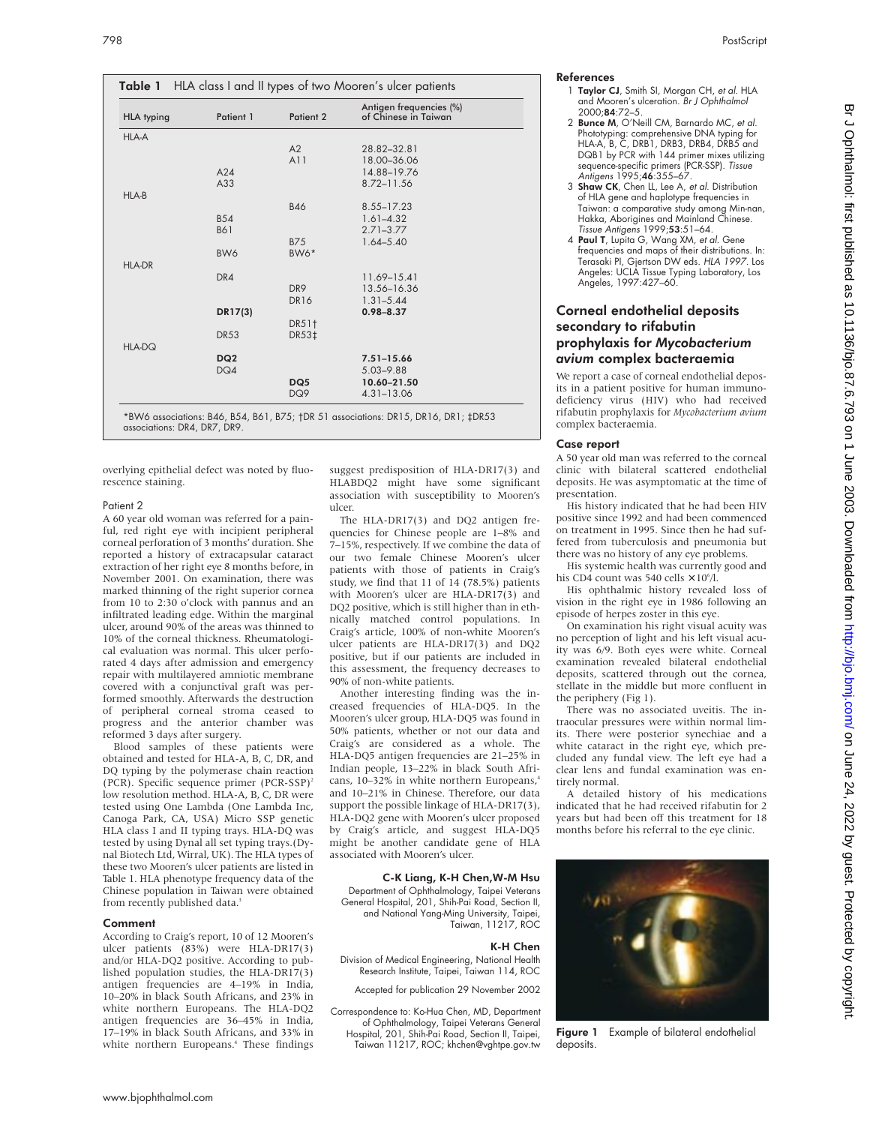| <b>HLA typing</b> | Patient 1       | Patient 2       | Antigen frequencies (%)<br>of Chinese in Taiwan |
|-------------------|-----------------|-----------------|-------------------------------------------------|
| <b>HLA-A</b>      |                 |                 |                                                 |
|                   |                 | A2              | 28.82-32.81                                     |
|                   |                 | A11             | 18.00-36.06                                     |
|                   | A24             |                 | 14.88-19.76                                     |
|                   | A33             |                 | 8.72-11.56                                      |
| HLA-B             |                 |                 |                                                 |
|                   |                 | <b>B46</b>      | 8.55-17.23                                      |
|                   | <b>B54</b>      |                 | $1.61 - 4.32$                                   |
|                   | <b>B61</b>      |                 | $2.71 - 3.77$                                   |
|                   |                 | <b>B75</b>      | $1.64 - 5.40$                                   |
|                   | BW6             | BW6*            |                                                 |
| <b>HLA-DR</b>     |                 |                 |                                                 |
|                   | DR4             |                 | 11.69-15.41                                     |
|                   |                 | DR <sub>9</sub> | 13.56-16.36                                     |
|                   |                 | <b>DR16</b>     | $1.31 - 5.44$                                   |
|                   | DR17(3)         |                 | $0.98 - 8.37$                                   |
|                   |                 | DR51†           |                                                 |
|                   | <b>DR53</b>     | DR53‡           |                                                 |
| <b>HLA-DQ</b>     |                 |                 |                                                 |
|                   | DQ <sub>2</sub> |                 | $7.51 - 15.66$                                  |
|                   | DQ4             |                 | $5.03 - 9.88$                                   |
|                   |                 | DQ5             | 10.60-21.50                                     |
|                   |                 | DQ9             | $4.31 - 13.06$                                  |

overlying epithelial defect was noted by fluorescence staining.

#### Patient 2

A 60 year old woman was referred for a painful, red right eye with incipient peripheral corneal perforation of 3 months' duration. She reported a history of extracapsular cataract extraction of her right eye 8 months before, in November 2001. On examination, there was marked thinning of the right superior cornea from 10 to 2:30 o'clock with pannus and an infiltrated leading edge. Within the marginal ulcer, around 90% of the areas was thinned to 10% of the corneal thickness. Rheumatological evaluation was normal. This ulcer perforated 4 days after admission and emergency repair with multilayered amniotic membrane covered with a conjunctival graft was performed smoothly. Afterwards the destruction of peripheral corneal stroma ceased to progress and the anterior chamber was reformed 3 days after surgery.

Blood samples of these patients were obtained and tested for HLA-A, B, C, DR, and DQ typing by the polymerase chain reaction (PCR). Specific sequence primer (PCR-SSP)<sup>2</sup> low resolution method. HLA-A, B, C, DR were tested using One Lambda (One Lambda Inc, Canoga Park, CA, USA) Micro SSP genetic HLA class I and II typing trays. HLA-DQ was tested by using Dynal all set typing trays.(Dynal Biotech Ltd, Wirral, UK). The HLA types of these two Mooren's ulcer patients are listed in Table 1. HLA phenotype frequency data of the Chinese population in Taiwan were obtained from recently published data.<sup>3</sup>

#### Comment

According to Craig's report, 10 of 12 Mooren's ulcer patients (83%) were HLA-DR17(3) and/or HLA-DQ2 positive. According to published population studies, the HLA-DR17(3) antigen frequencies are 4–19% in India, 10–20% in black South Africans, and 23% in white northern Europeans. The HLA-DQ2 antigen frequencies are 36–45% in India, 17–19% in black South Africans, and 33% in white northern Europeans.<sup>4</sup> These findings

suggest predisposition of HLA-DR17(3) and HLABDQ2 might have some significant association with susceptibility to Mooren's ulcer.

The HLA-DR17(3) and DQ2 antigen frequencies for Chinese people are 1–8% and 7–15%, respectively. If we combine the data of our two female Chinese Mooren's ulcer patients with those of patients in Craig's study, we find that 11 of 14 (78.5%) patients with Mooren's ulcer are HLA-DR17(3) and DQ2 positive, which is still higher than in ethnically matched control populations. In Craig's article, 100% of non-white Mooren's ulcer patients are HLA-DR17(3) and DQ2 positive, but if our patients are included in this assessment, the frequency decreases to 90% of non-white patients.

Another interesting finding was the increased frequencies of HLA-DQ5. In the Mooren's ulcer group, HLA-DQ5 was found in 50% patients, whether or not our data and Craig's are considered as a whole. The HLA-DQ5 antigen frequencies are 21–25% in Indian people, 13–22% in black South Africans, 10–32% in white northern Europeans,<sup>4</sup> and 10–21% in Chinese. Therefore, our data support the possible linkage of HLA-DR17(3), HLA-DQ2 gene with Mooren's ulcer proposed by Craig's article, and suggest HLA-DQ5 might be another candidate gene of HLA associated with Mooren's ulcer.

# C-K Liang, K-H Chen,W-M Hsu

Department of Ophthalmology, Taipei Veterans General Hospital, 201, Shih-Pai Road, Section II, and National Yang-Ming University, Taipei, Taiwan, 11217, ROC

#### K-H Chen

Division of Medical Engineering, National Health Research Institute, Taipei, Taiwan 114, ROC

Accepted for publication 29 November 2002

Correspondence to: Ko-Hua Chen, MD, Department of Ophthalmology, Taipei Veterans General Hospital, 201, Shih-Pai Road, Section II, Taipei, Taiwan 11217, ROC; khchen@vghtpe.gov.tw

- References 1 Taylor CJ, Smith SI, Morgan CH, et al. HLA and Mooren's ulceration. Br J Ophthalmol 2000;84:72–5.
	- 2 Bunce M, O'Neill CM, Barnardo MC, et al. Phototyping: comprehensive DNA typing for HLA-A, B, C, DRB1, DRB3, DRB4, DRB5 and DQB1 by PCR with 144 primer mixes utilizing sequence-specific primers (PCR-SSP). Tissue Antigens 1995;46:355-67.
	- 3 Shaw CK, Chen LL, Lee A, et al. Distribution of HLA gene and haplotype frequencies in Taiwan: a comparative study among Min-nan, Hakka, Aborigines and Mainland Chinese. Tissue Antigens 1999;53:51–64.
	- 4 Paul T, Lupita G, Wang XM, et al. Gene frequencies and maps of their distributions. In: Terasaki PI, Gjertson DW eds. HLA 1997. Los Angeles: UCLA Tissue Typing Laboratory, Los Angeles, 1997:427–60.

# Corneal endothelial deposits secondary to rifabutin prophylaxis for *Mycobacterium avium* complex bacteraemia

We report a case of corneal endothelial deposits in a patient positive for human immunodeficiency virus (HIV) who had received rifabutin prophylaxis for *Mycobacterium avium* complex bacteraemia.

#### Case report

A 50 year old man was referred to the corneal clinic with bilateral scattered endothelial deposits. He was asymptomatic at the time of presentation.

His history indicated that he had been HIV positive since 1992 and had been commenced on treatment in 1995. Since then he had suffered from tuberculosis and pneumonia but there was no history of any eye problems.

His systemic health was currently good and his CD4 count was 540 cells  $\times$  10<sup>6</sup>/l.

His ophthalmic history revealed loss of vision in the right eye in 1986 following an episode of herpes zoster in this eye.

On examination his right visual acuity was no perception of light and his left visual acuity was 6/9. Both eyes were white. Corneal examination revealed bilateral endothelial deposits, scattered through out the cornea, stellate in the middle but more confluent in the periphery (Fig 1).

There was no associated uveitis. The intraocular pressures were within normal limits. There were posterior synechiae and a white cataract in the right eye, which precluded any fundal view. The left eye had a clear lens and fundal examination was entirely normal.

A detailed history of his medications indicated that he had received rifabutin for 2 years but had been off this treatment for 18 months before his referral to the eye clinic.



Figure 1 Example of bilateral endothelial deposits.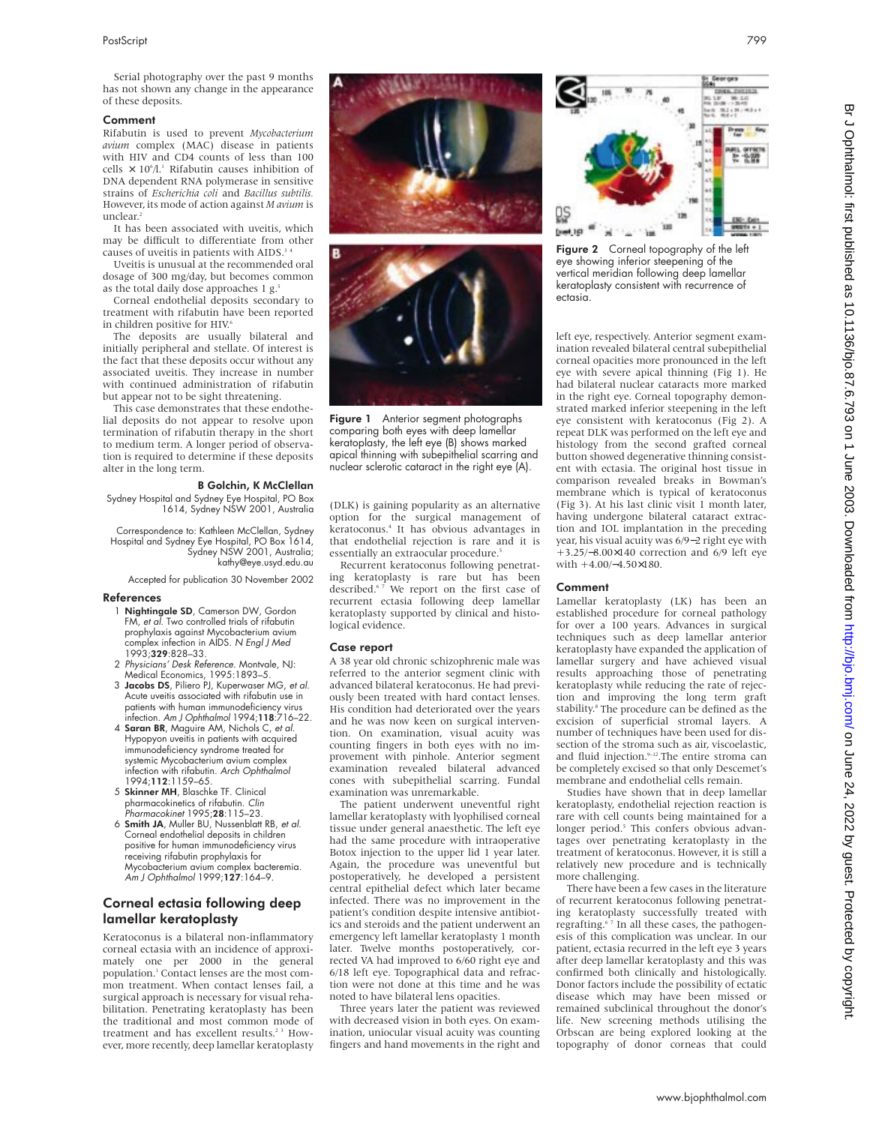Serial photography over the past 9 months has not shown any change in the appearance of these deposits.

#### Comment

Rifabutin is used to prevent *Mycobacterium avium* complex (MAC) disease in patients with HIV and CD4 counts of less than 100 cells  $\times$  10<sup>6</sup>/l.<sup>1</sup> Rifabutin causes inhibition of DNA dependent RNA polymerase in sensitive strains of *Escherichia coli* and *Bacillus subtilis.* However, its mode of action against *M avium* is unclear.<sup>2</sup>

It has been associated with uveitis, which may be difficult to differentiate from other causes of uveitis in patients with AIDS.<sup>3</sup>

Uveitis is unusual at the recommended oral dosage of 300 mg/day, but becomes common as the total daily dose approaches 1 g.<sup>5</sup>

Corneal endothelial deposits secondary to treatment with rifabutin have been reported in children positive for HIV.<sup>6</sup>

The deposits are usually bilateral and initially peripheral and stellate. Of interest is the fact that these deposits occur without any associated uveitis. They increase in number with continued administration of rifabutin but appear not to be sight threatening.

This case demonstrates that these endothelial deposits do not appear to resolve upon termination of rifabutin therapy in the short to medium term. A longer period of observation is required to determine if these deposits alter in the long term.

#### B Golchin, K McClellan

Sydney Hospital and Sydney Eye Hospital, PO Box 1614, Sydney NSW 2001, Australia

Correspondence to: Kathleen McClellan, Sydney Hospital and Sydney Eye Hospital, PO Box 1614, Sydney NSW 2001, Australia; kathy@eye.usyd.edu.au

Accepted for publication 30 November 2002

#### References

- 1 Nightingale SD, Camerson DW, Gordon FM, et al. Two controlled trials of rifabutin prophylaxis against Mycobacterium avium complex infection in AIDS. N Engl J Med 1993;329:828–33.
- 2 Physicians' Desk Reference. Montvale, NJ: Medical Economics, 1995:1893–5.
- 3 Jacobs DS, Piliero PJ, Kuperwaser MG, et al. Acute uveitis associated with rifabutin use in patients with human immunodeficiency virus<br>infection. *Am J Ophthalmol* 1994;**118**:716–22.
- 4 Saran BR, Maguire AM, Nichols C, et al. Hypopyon uveitis in patients with acquired immunodeficiency syndrome treated for systemic Mycobacterium avium complex infection with rifabutin. Arch Ophthalmol 1994;112:1159–65.
- 5 Skinner MH, Blaschke TF. Clinical pharmacokinetics of rifabutin. Clin Pharmacokinet 1995;28:115–23.
- 6 Smith JA, Muller BU, Nussenblatt RB, et al. Corneal endothelial deposits in children positive for human immunodeficiency virus receiving rifabutin prophylaxis for Mycobacterium avium complex bacteremia. Am J Ophthalmol 1999;127:164-9.

# Corneal ectasia following deep lamellar keratoplasty

Keratoconus is a bilateral non-inflammatory corneal ectasia with an incidence of approximately one per 2000 in the general population.1 Contact lenses are the most common treatment. When contact lenses fail, a surgical approach is necessary for visual rehabilitation. Penetrating keratoplasty has been the traditional and most common mode of treatment and has excellent results.<sup>23</sup> However, more recently, deep lamellar keratoplasty





Figure 1 Anterior segment photographs comparing both eyes with deep lamellar keratoplasty, the left eye (B) shows marked apical thinning with subepithelial scarring and nuclear sclerotic cataract in the right eye (A).

(DLK) is gaining popularity as an alternative option for the surgical management of keratoconus.4 It has obvious advantages in that endothelial rejection is rare and it is essentially an extraocular procedure.<sup>5</sup>

Recurrent keratoconus following penetrating keratoplasty is rare but has been described.<sup>67</sup> We report on the first case of recurrent ectasia following deep lamellar keratoplasty supported by clinical and histological evidence.

#### Case report

A 38 year old chronic schizophrenic male was referred to the anterior segment clinic with advanced bilateral keratoconus. He had previously been treated with hard contact lenses. His condition had deteriorated over the years and he was now keen on surgical intervention. On examination, visual acuity was counting fingers in both eyes with no improvement with pinhole. Anterior segment examination revealed bilateral advanced cones with subepithelial scarring. Fundal examination was unremarkable.

The patient underwent uneventful right lamellar keratoplasty with lyophilised corneal tissue under general anaesthetic. The left eye had the same procedure with intraoperative Botox injection to the upper lid 1 year later. Again, the procedure was uneventful but postoperatively, he developed a persistent central epithelial defect which later became infected. There was no improvement in the patient's condition despite intensive antibiotics and steroids and the patient underwent an emergency left lamellar keratoplasty 1 month later. Twelve months postoperatively, corrected VA had improved to 6/60 right eye and 6/18 left eye. Topographical data and refraction were not done at this time and he was noted to have bilateral lens opacities.

Three years later the patient was reviewed with decreased vision in both eyes. On examination, uniocular visual acuity was counting fingers and hand movements in the right and



Figure 2 Corneal topography of the left eye showing inferior steepening of the vertical meridian following deep lamellar keratoplasty consistent with recurrence of ectasia.

left eye, respectively. Anterior segment examination revealed bilateral central subepithelial corneal opacities more pronounced in the left eye with severe apical thinning (Fig 1). He had bilateral nuclear cataracts more marked in the right eye. Corneal topography demonstrated marked inferior steepening in the left eye consistent with keratoconus (Fig 2). A repeat DLK was performed on the left eye and histology from the second grafted corneal button showed degenerative thinning consistent with ectasia. The original host tissue in comparison revealed breaks in Bowman's membrane which is typical of keratoconus (Fig 3). At his last clinic visit 1 month later, having undergone bilateral cataract extraction and IOL implantation in the preceding year, his visual acuity was 6/9−2 right eye with +3.25/−8.00×140 correction and 6/9 left eye with +4.00/−4.50×180.

#### Comment

Lamellar keratoplasty (LK) has been an established procedure for corneal pathology for over a 100 years. Advances in surgical techniques such as deep lamellar anterior keratoplasty have expanded the application of lamellar surgery and have achieved visual results approaching those of penetrating keratoplasty while reducing the rate of rejection and improving the long term graft stability.<sup>8</sup> The procedure can be defined as the excision of superficial stromal layers. A number of techniques have been used for dissection of the stroma such as air, viscoelastic, and fluid injection.<sup>9-12</sup>.The entire stroma can be completely excised so that only Descemet's membrane and endothelial cells remain.

Studies have shown that in deep lamellar keratoplasty, endothelial rejection reaction is rare with cell counts being maintained for a longer period.<sup>5</sup> This confers obvious advantages over penetrating keratoplasty in the treatment of keratoconus. However, it is still a relatively new procedure and is technically more challenging.

There have been a few cases in the literature of recurrent keratoconus following penetrating keratoplasty successfully treated with regrafting.<sup>67</sup> In all these cases, the pathogenesis of this complication was unclear. In our patient, ectasia recurred in the left eye 3 years after deep lamellar keratoplasty and this was confirmed both clinically and histologically. Donor factors include the possibility of ectatic disease which may have been missed or remained subclinical throughout the donor's life. New screening methods utilising the Orbscan are being explored looking at the topography of donor corneas that could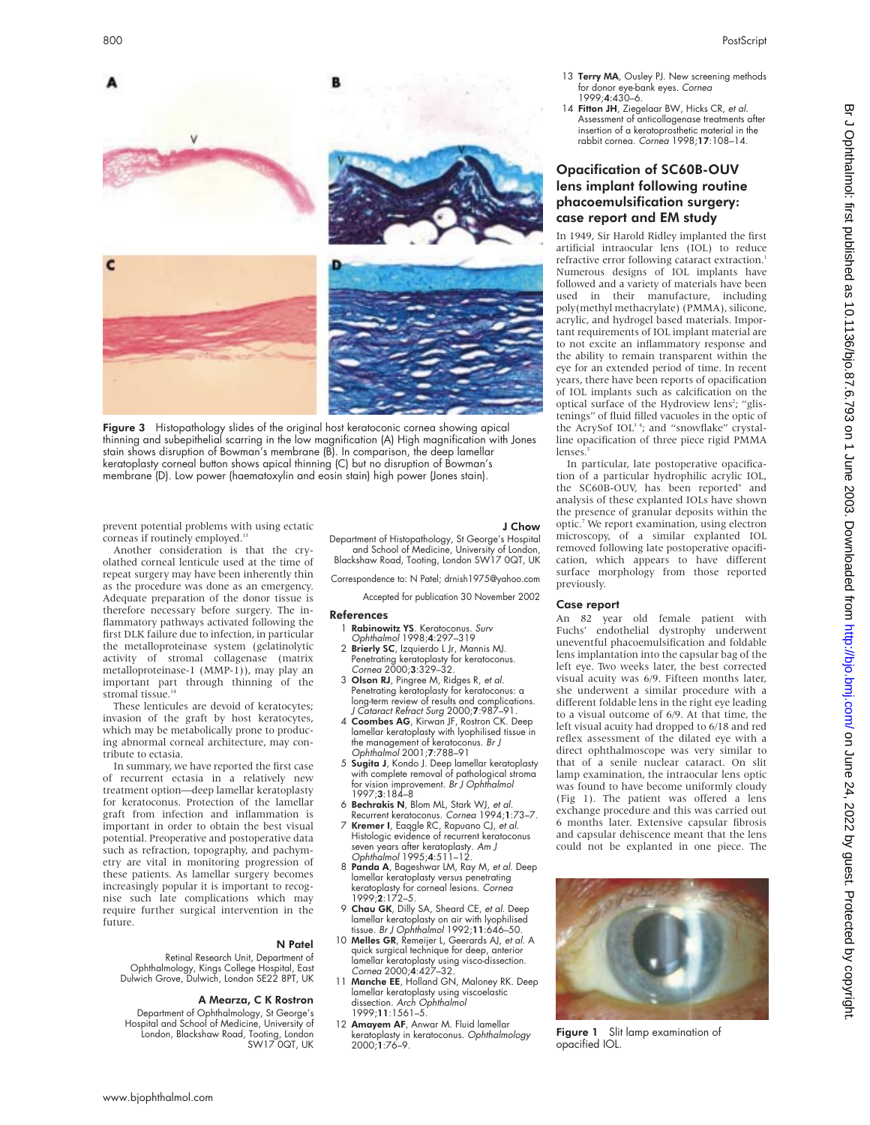- 13 Terry MA, Ousley PJ. New screening methods for donor eye-bank eyes. Cornea 1999;4:430–6.
- 14 Fitton JH, Ziegelaar BW, Hicks CR, et al. Assessment of anticollagenase treatments after insertion of a keratoprosthetic material in the rabbit cornea. Cornea 1998;17:108–14.

# Opacification of SC60B-OUV lens implant following routine phacoemulsification surgery: case report and EM study

In 1949, Sir Harold Ridley implanted the first artificial intraocular lens (IOL) to reduce refractive error following cataract extraction. Numerous designs of IOL implants have followed and a variety of materials have been used in their manufacture, including poly(methyl methacrylate) (PMMA), silicone, acrylic, and hydrogel based materials. Important requirements of IOL implant material are to not excite an inflammatory response and the ability to remain transparent within the eye for an extended period of time. In recent years, there have been reports of opacification of IOL implants such as calcification on the optical surface of the Hydroview lens<sup>2</sup>; "glistenings" of fluid filled vacuoles in the optic of the AcrySof IOL<sup>34</sup>; and "snowflake" crystalline opacification of three piece rigid PMMA lenses

In particular, late postoperative opacification of a particular hydrophilic acrylic IOL, the SC60B-OUV, has been reported<sup>6</sup> and analysis of these explanted IOLs have shown the presence of granular deposits within the optic.<sup>7</sup> We report examination, using electron microscopy, of a similar explanted IOL removed following late postoperative opacification, which appears to have different surface morphology from those reported previously.

#### Case report

An 82 year old female patient with Fuchs' endothelial dystrophy underwent uneventful phacoemulsification and foldable lens implantation into the capsular bag of the left eye. Two weeks later, the best corrected visual acuity was 6/9. Fifteen months later, she underwent a similar procedure with a different foldable lens in the right eye leading to a visual outcome of 6/9. At that time, the left visual acuity had dropped to 6/18 and red reflex assessment of the dilated eye with a direct ophthalmoscope was very similar to that of a senile nuclear cataract. On slit lamp examination, the intraocular lens optic was found to have become uniformly cloudy (Fig 1). The patient was offered a lens exchange procedure and this was carried out 6 months later. Extensive capsular fibrosis and capsular dehiscence meant that the lens could not be explanted in one piece. The



Figure 1 Slit lamp examination of opacified IOL.



Figure 3 Histopathology slides of the original host keratoconic cornea showing apical thinning and subepithelial scarring in the low magnification (A) High magnification with Jones stain shows disruption of Bowman's membrane (B). In comparison, the deep lamellar keratoplasty corneal button shows apical thinning (C) but no disruption of Bowman's membrane (D). Low power (haematoxylin and eosin stain) high power (Jones stain).

prevent potential problems with using ectatic corneas if routinely employed.<sup>13</sup>

Another consideration is that the cryolathed corneal lenticule used at the time of repeat surgery may have been inherently thin as the procedure was done as an emergency. Adequate preparation of the donor tissue is therefore necessary before surgery. The inflammatory pathways activated following the first DLK failure due to infection, in particular the metalloproteinase system (gelatinolytic activity of stromal collagenase (matrix metalloproteinase-1 (MMP-1)), may play an important part through thinning of the stromal tissue.<sup>14</sup>

These lenticules are devoid of keratocytes; invasion of the graft by host keratocytes, which may be metabolically prone to producing abnormal corneal architecture, may contribute to ectasia.

In summary, we have reported the first case of recurrent ectasia in a relatively new treatment option—deep lamellar keratoplasty for keratoconus. Protection of the lamellar graft from infection and inflammation is important in order to obtain the best visual potential. Preoperative and postoperative data such as refraction, topography, and pachymetry are vital in monitoring progression of these patients. As lamellar surgery becomes increasingly popular it is important to recognise such late complications which may require further surgical intervention in the future.

#### N Patel

Retinal Research Unit, Department of Ophthalmology, Kings College Hospital, East Dulwich Grove, Dulwich, London SE22 8PT, UK

#### A Mearza, C K Rostron

Department of Ophthalmology, St George's Hospital and School of Medicine, University of London, Blackshaw Road, Tooting, London SW17 0QT, UK

#### J Chow

Department of Histopathology, St George's Hospital and School of Medicine, University of London, Blackshaw Road, Tooting, London SW17 0QT, UK

Correspondence to: N Patel; drnish1975@yahoo.com

Accepted for publication 30 November 2002

#### References

- 1 Rabinowitz YS. Keratoconus. Surv
- Ophthalmol 1998;4:297–319
- 2 Brierly SC, Izquierdo L Jr, Mannis MJ. Penetrating keratoplasty for keratoconus. Cornea 2000;3:329–32.
- 3 Olson RJ, Pingree M, Ridges R, et al. Penetrating keratoplasty for keratoconus: a long-term review of results and complications. J Cataract Refract Surg 2000;7:987–91.
- 4 Coombes AG, Kirwan JF, Rostron CK. Deep lamellar keratoplasty with lyophilised tissue in the management of keratoconus. Br J Ophthalmol 2001;7:788–91
- 5 Sugita J, Kondo J. Deep lamellar keratoplasty with complete removal of pathological stroma for vision improvement. Br J Ophthalmol 1997;3:184–8
- 6 Bechrakis N, Blom ML, Stark WJ, et al.
- Recurrent keratoconus. *Cornea* 1994;1:73–7.<br>7 **Kremer I**, Eaqgle RC, Rapuano CJ, *et al.* Histologic evidence of recurrent keratoconus seven years after keratoplasty. Am J
- Ophthalmol 1995;4:511–12.<br>8 **Panda A**, Bageshwar LM, Ray M, *et al.* Deep lamellar keratoplasty versus penetrating keratoplasty for corneal lesions. Cornea 1999;2:172–5.
- 9 Chau GK, Dilly SA, Sheard CE, et al. Deep lamellar keratoplasty on air with lyophilised tissue. Br J Ophthalmol 1992;11:646–50.
- 10 Melles GR, Remeijer L, Geerards AJ, et al. A quick surgical technique for deep, anterior lamellar keratoplasty using visco-dissection. Cornea 2000;4:427–32.
- 11 Manche EE, Holland GN, Maloney RK. Deep lamellar keratoplasty using viscoelastic dissection. Arch Ophthalmol 1999;11:1561–5.
- 12 Amayem AF, Anwar M. Fluid lamellar keratoplasty in keratoconus. Ophthalmology 2000;1:76–9.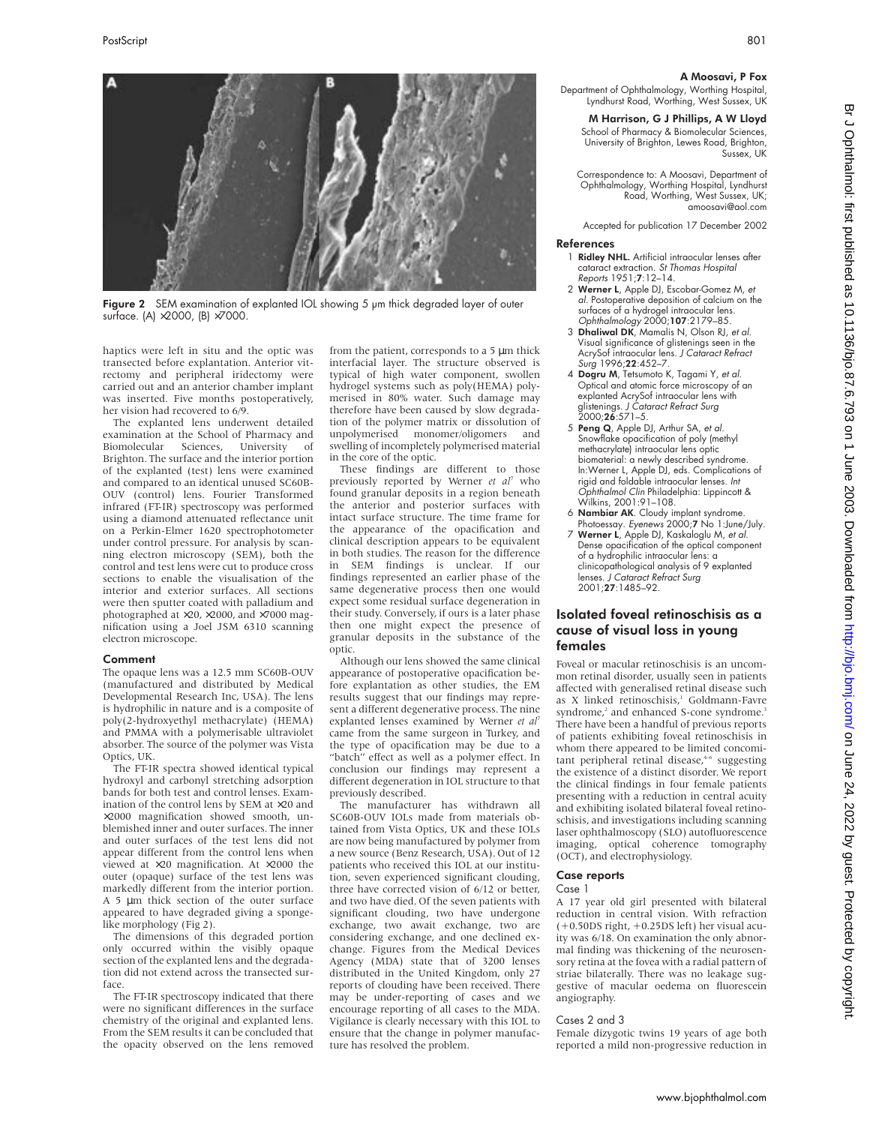

Figure 2 SEM examination of explanted IOL showing 5 um thick degraded layer of outer surface. (A) ×2000, (B) ×7000.

haptics were left in situ and the optic was transected before explantation. Anterior vitrectomy and peripheral iridectomy were carried out and an anterior chamber implant was inserted. Five months postoperatively, her vision had recovered to 6/9.

The explanted lens underwent detailed examination at the School of Pharmacy and Biomolecular Sciences, University of Brighton. The surface and the interior portion of the explanted (test) lens were examined and compared to an identical unused SC60B-OUV (control) lens. Fourier Transformed infrared (FT-IR) spectroscopy was performed using a diamond attenuated reflectance unit on a Perkin-Elmer 1620 spectrophotometer under control pressure. For analysis by scanning electron microscopy (SEM), both the control and test lens were cut to produce cross sections to enable the visualisation of the interior and exterior surfaces. All sections were then sputter coated with palladium and photographed at ×20, ×2000, and ×7000 magnification using a Joel JSM 6310 scanning electron microscope.

#### Comment

The opaque lens was a 12.5 mm SC60B-OUV (manufactured and distributed by Medical Developmental Research Inc, USA). The lens is hydrophilic in nature and is a composite of poly(2-hydroxyethyl methacrylate) (HEMA) and PMMA with a polymerisable ultraviolet absorber. The source of the polymer was Vista Optics, UK.

The FT-IR spectra showed identical typical hydroxyl and carbonyl stretching adsorption bands for both test and control lenses. Examination of the control lens by SEM at ×20 and ×2000 magnification showed smooth, unblemished inner and outer surfaces. The inner and outer surfaces of the test lens did not appear different from the control lens when viewed at ×20 magnification. At ×2000 the outer (opaque) surface of the test lens was markedly different from the interior portion. A 5 um thick section of the outer surface appeared to have degraded giving a spongelike morphology (Fig 2).

The dimensions of this degraded portion only occurred within the visibly opaque section of the explanted lens and the degradation did not extend across the transected surface.

The FT-IR spectroscopy indicated that there were no significant differences in the surface chemistry of the original and explanted lens. From the SEM results it can be concluded that the opacity observed on the lens removed from the patient, corresponds to a 5 µm thick interfacial layer. The structure observed is typical of high water component, swollen hydrogel systems such as poly(HEMA) polymerised in 80% water. Such damage may therefore have been caused by slow degradation of the polymer matrix or dissolution of<br>unpolymerised monomer/oligomers and unpolymerised monomer/oligomers swelling of incompletely polymerised material in the core of the optic.

These findings are different to those previously reported by Werner *et al*<sup>7</sup> who found granular deposits in a region beneath the anterior and posterior surfaces with intact surface structure. The time frame for the appearance of the opacification and clinical description appears to be equivalent in both studies. The reason for the difference in SEM findings is unclear. If our findings represented an earlier phase of the same degenerative process then one would expect some residual surface degeneration in their study. Conversely, if ours is a later phase then one might expect the presence of granular deposits in the substance of the optic.

Although our lens showed the same clinical appearance of postoperative opacification before explantation as other studies, the EM results suggest that our findings may represent a different degenerative process. The nine explanted lenses examined by Werner *et al*<sup>7</sup> came from the same surgeon in Turkey, and the type of opacification may be due to a "batch" effect as well as a polymer effect. In conclusion our findings may represent a different degeneration in IOL structure to that previously described.

The manufacturer has withdrawn all SC60B-OUV IOLs made from materials obtained from Vista Optics, UK and these IOLs are now being manufactured by polymer from a new source (Benz Research, USA). Out of 12 patients who received this IOL at our institution, seven experienced significant clouding, three have corrected vision of 6/12 or better, and two have died. Of the seven patients with significant clouding, two have undergone exchange, two await exchange, two are considering exchange, and one declined exchange. Figures from the Medical Devices Agency (MDA) state that of 3200 lenses distributed in the United Kingdom, only 27 reports of clouding have been received. There may be under-reporting of cases and we encourage reporting of all cases to the MDA. Vigilance is clearly necessary with this IOL to ensure that the change in polymer manufacture has resolved the problem.

#### A Moosavi, P Fox

Department of Ophthalmology, Worthing Hospital, Lyndhurst Road, Worthing, West Sussex, UK

M Harrison, G J Phillips, A W Lloyd School of Pharmacy & Biomolecular Sciences, University of Brighton, Lewes Road, Brighton, Sussex, UK

Correspondence to: A Moosavi, Department of Ophthalmology, Worthing Hospital, Lyndhurst Road, Worthing, West Sussex, UK; amoosavi@aol.com

Accepted for publication 17 December 2002

#### References

- Ridley NHL. Artificial intraocular lenses after cataract extraction. St Thomas Hospital Reports 1951;7:12–14.
- 2 Werner L, Apple DJ, Escobar-Gomez M, et al. Postoperative deposition of calcium on the surfaces of a hydrogel intraocular lens. Ophthalmology 2000;107:2179–85.
- 3 Dhaliwal DK, Mamalis N, Olson RJ, et al. Visual significance of glistenings seen in the AcrySof intraocular lens. J Cataract Refract Surg 1996;22:452–7.
- 4 Dogru M, Tetsumoto K, Tagami Y, et al. Optical and atomic force microscopy of an explanted AcrySof intraocular lens with glistenings. *J Cataract Refract Surg*<br>2000;**26**:571–5.
- 5 Peng Q, Apple DJ, Arthur SA, et al. Snowflake opacification of poly (methyl methacrylate) intraocular lens optic biomaterial: a newly described syndrome. In:Werner L, Apple DJ, eds. Complications of rigid and foldable intraocular lenses. Int Ophthalmol Clin Philadelphia: Lippincott & Wilkins, 2001:91–108.
- 6 Nambiar AK. Cloudy implant syndrome. Photoessay. Eyenews 2000;7 No 1:June/July.
- 7 Werner L, Apple DJ, Kaskaloglu M, et al. Dense opacification of the optical component of a hydrophilic intraocular lens: a clinicopathological analysis of 9 explanted lenses. J Cataract Refract Surg 2001;27:1485–92.

# Isolated foveal retinoschisis as a cause of visual loss in young females

Foveal or macular retinoschisis is an uncommon retinal disorder, usually seen in patients affected with generalised retinal disease such as X linked retinoschisis,<sup>1</sup> Goldmann-Favre syndrome,<sup>2</sup> and enhanced S-cone syndrome.<sup>3</sup> There have been a handful of previous reports of patients exhibiting foveal retinoschisis in whom there appeared to be limited concomitant peripheral retinal disease,<sup>4-6</sup> suggesting the existence of a distinct disorder. We report the clinical findings in four female patients presenting with a reduction in central acuity and exhibiting isolated bilateral foveal retinoschisis, and investigations including scanning laser ophthalmoscopy (SLO) autofluorescence imaging, optical coherence tomography (OCT), and electrophysiology.

### Case reports

#### Case 1

A 17 year old girl presented with bilateral reduction in central vision. With refraction (+0.50DS right, +0.25DS left) her visual acuity was 6/18. On examination the only abnormal finding was thickening of the neurosensory retina at the fovea with a radial pattern of striae bilaterally. There was no leakage suggestive of macular oedema on fluorescein angiography.

#### Cases 2 and 3

Female dizygotic twins 19 years of age both reported a mild non-progressive reduction in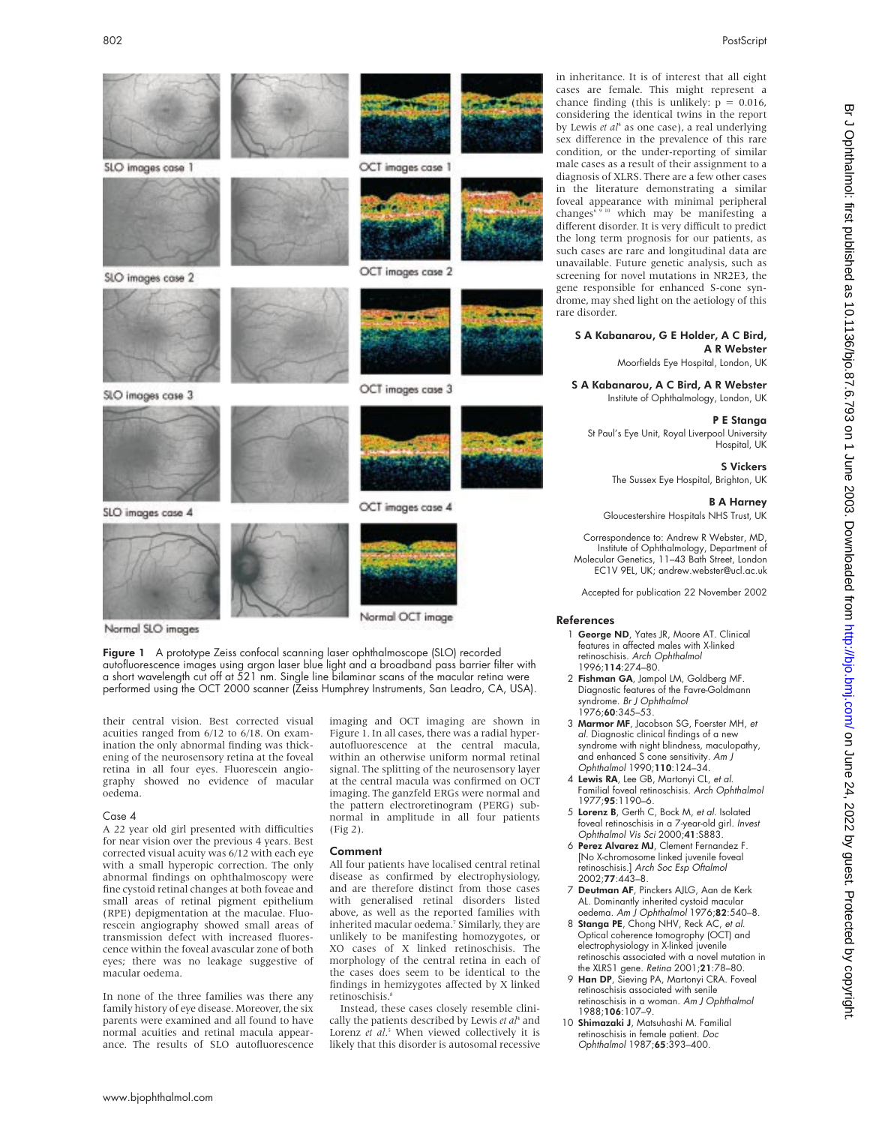

Normal SLO images

Figure 1 A prototype Zeiss confocal scanning laser ophthalmoscope (SLO) recorded autofluorescence images using argon laser blue light and a broadband pass barrier filter with a short wavelength cut off at 521 nm. Single line bilaminar scans of the macular retina were performed using the OCT 2000 scanner (Zeiss Humphrey Instruments, San Leadro, CA, USA).

their central vision. Best corrected visual acuities ranged from 6/12 to 6/18. On examination the only abnormal finding was thickening of the neurosensory retina at the foveal retina in all four eyes. Fluorescein angiography showed no evidence of macular oedema.

#### Case 4

A 22 year old girl presented with difficulties for near vision over the previous 4 years. Best corrected visual acuity was 6/12 with each eye with a small hyperopic correction. The only abnormal findings on ophthalmoscopy were fine cystoid retinal changes at both foveae and small areas of retinal pigment epithelium (RPE) depigmentation at the maculae. Fluorescein angiography showed small areas of transmission defect with increased fluorescence within the foveal avascular zone of both eyes; there was no leakage suggestive of macular oedema.

In none of the three families was there any family history of eye disease. Moreover, the six parents were examined and all found to have normal acuities and retinal macula appearance. The results of SLO autofluorescence

imaging and OCT imaging are shown in Figure 1. In all cases, there was a radial hyperautofluorescence at the central macula, within an otherwise uniform normal retinal signal. The splitting of the neurosensory layer at the central macula was confirmed on OCT imaging. The ganzfeld ERGs were normal and the pattern electroretinogram (PERG) subnormal in amplitude in all four patients (Fig 2).

#### Comment

All four patients have localised central retinal disease as confirmed by electrophysiology, and are therefore distinct from those cases with generalised retinal disorders listed above, as well as the reported families with inherited macular oedema.<sup>7</sup> Similarly, they are unlikely to be manifesting homozygotes, or XO cases of X linked retinoschisis. The morphology of the central retina in each of the cases does seem to be identical to the findings in hemizygotes affected by X linked retinoschisis.<sup>8</sup>

Instead, these cases closely resemble clinically the patients described by Lewis *et al*<sup>4</sup> and Lorenz *et al*. <sup>5</sup> When viewed collectively it is likely that this disorder is autosomal recessive

in inheritance. It is of interest that all eight cases are female. This might represent a chance finding (this is unlikely:  $p = 0.016$ , considering the identical twins in the report by Lewis *et al*<sup>4</sup> as one case), a real underlying sex difference in the prevalence of this rare condition, or the under-reporting of similar male cases as a result of their assignment to a diagnosis of XLRS. There are a few other cases in the literature demonstrating a similar foveal appearance with minimal peripheral changes<sup>6,9 10</sup> which may be manifesting a different disorder. It is very difficult to predict the long term prognosis for our patients, as such cases are rare and longitudinal data are unavailable. Future genetic analysis, such as screening for novel mutations in NR2E3, the gene responsible for enhanced S-cone syndrome, may shed light on the aetiology of this rare disorder.

# S A Kabanarou, G E Holder, A C Bird, A R Webster

Moorfields Eye Hospital, London, UK

S A Kabanarou, A C Bird, A R Webster Institute of Ophthalmology, London, UK

# P E Stanga

St Paul's Eye Unit, Royal Liverpool University Hospital, UK

> S Vickers The Sussex Eye Hospital, Brighton, UK

#### B A Harney

Gloucestershire Hospitals NHS Trust, UK

Correspondence to: Andrew R Webster, MD, Institute of Ophthalmology, Department of Molecular Genetics, 11–43 Bath Street, London EC1V 9EL, UK; andrew.webster@ucl.ac.uk

Accepted for publication 22 November 2002

#### References

- 1 George ND, Yates JR, Moore AT. Clinical features in affected males with X-linked retinoschisis. Arch Ophthalmol 1996;114:274–80.
- 2 Fishman GA, Jampol LM, Goldberg MF. Diagnostic features of the Favre-Goldmann syndrome. Br J Ophthalmol 1976;60:345–53.
- 3 Marmor MF, Jacobson SG, Foerster MH, et al. Diagnostic clinical findings of a new syndrome with night blindness, maculopathy, and enhanced S cone sensitivity. Am J Ophthalmol 1990;110:124–34.
- 4 Lewis RA, Lee GB, Martonyi CL, et al. Familial foveal retinoschisis. Arch Ophthalmol 1977;95:1190–6.
- 5 Lorenz B, Gerth C, Bock M, et al. Isolated foveal retinoschisis in a 7-year-old girl. Invest Ophthalmol Vis Sci 2000;41:S883.
- 6 Perez Alvarez MJ, Clement Fernandez F. [No X-chromosome linked juvenile foveal retinoschisis.] Arch Soc Esp Oftalmol 2002;77:443–8.
- 7 Deutman AF, Pinckers AJLG, Aan de Kerk AL. Dominantly inherited cystoid macular oedema. Am J Ophthalmol 1976;82:540–8.
- 8 Stanga PE, Chong NHV, Reck AC, et al. Optical coherence tomogrophy (OCT) and electrophysiology in X-linked juvenile retinoschis associated with a novel mutation in
- the XLRS1 gene. *Retina* 2001;**21**:78–80.<br>9 **Han DP**, Sieving PA, Martonyi CRA. Foveal retinoschisis associated with senile retinoschisis in a woman. Am J Ophthalmol 1988;106:107–9.
- 10 Shimazaki J, Matsuhashi M. Familial retinoschisis in female patient. Doc Ophthalmol 1987;65:393–400.